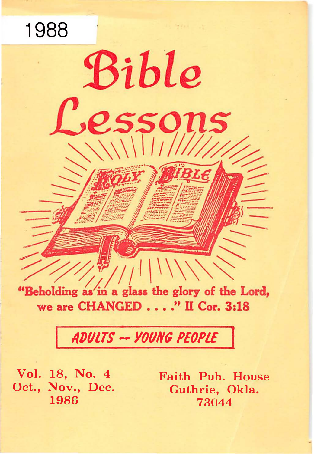"Beholding as in a glass the glory of the Lord, we are CHANGED . . . . " II Cor. 3:18

Bible

 $\sqrt{1111111}$ 

essons

# ADULTS -- YOUNG PEOPLE

Vol. 18, No. 4 Oct., Nov., Dec. 1986

1988

Faith Pub. House Guthrie, Okla. 73044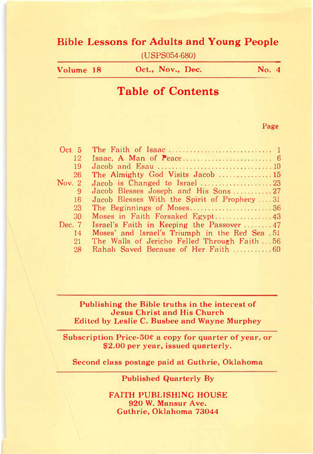## Bible Lessons for Adults and Young People

(USPS054-680)

| Volume 18 | Oct., Nov., Dec. | <b>No.</b> 4 |
|-----------|------------------|--------------|
|           |                  |              |

## Table of Contents

#### Page

| Oct 5    |                                                 |
|----------|-------------------------------------------------|
| 12       |                                                 |
| 19       |                                                 |
| 26       | The Almighty God Visits Jacob  15               |
| Nov. 2   | Jacob is Changed to Israel 23                   |
| 9        | Jacob Blesses Joseph and His Sons27             |
| 16       | Jacob Blesses With the Spirit of Prophecy 31    |
| 23       | The Beginnings of Moses36                       |
| 30       |                                                 |
| Dec. $7$ | Israel's Faith in Keeping the Passover  47      |
| 14       | Moses' and Israel's Triumph in the Red Sea . 51 |
| 21       | The Walls of Jericho Felled Through Faith56     |
| 28       | Rahah Saved Because of Her Faith 60             |

#### Publishing the Bible truths in the interest of Jesus Christ and His Church Edited by Leslie C. Busbee and Wayne Murphey

Subscription Price-50C a copy for quarter of year, or \$2.00 per year, issued quarterly.

Second class postage paid at Guthrie, Oklahoma

#### Published Quarterly By

FAITH PUBLISHING HOUSE 920 W. Mansur Ave. Guthrie, Oklahoma 73044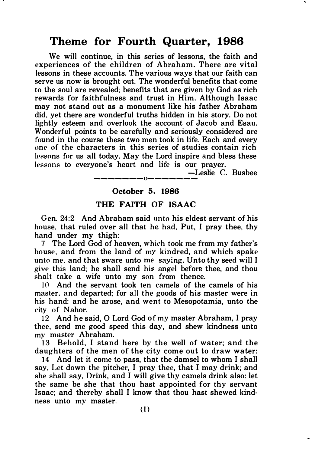## Theme for Fourth Quarter, 1986

We will continue, in this series of lessons, the faith and experiences of the children of Abraham. There are vital lessons in these accounts. The various ways that our faith can serve us now is brought out. The wonderful benefits that come to the soul are revealed; benefits that are given by God as rich rewards for faithfulness and trust in Him. Although Isaac may not stand out as a monument like his father Abraham did, yet there are wonderful truths hidden in his story. Do not lightly esteem and overlook the account of Jacob and Esau. Wonderful points to be carefully and seriously considered are found in the course these two men took in life. Each and every one of the characters in this series of studies contain rich lessons for us all today. May the Lord inspire and bless these lessons to everyone's heart and life is our prayer.

> -Leslie C. Busbee -------l)-------

#### October 5. 1986

#### THE FAITH OF ISAAC

Gen. 24:2 And Abraham said unto his eldest servant of his house. that ruled over all that he had. Put, I pray thee, thy hand under my thigh:

7 The Lord God of heaven, which took me from my father's house, and from the land of my kindred, and which spake unto me. and that sware unto me saying, Unto thy seed will I give this land; he shall send his angel before thee, and thou shalt take a wife unto my son from thence.

10 And the servant took ten camels of the camels of his master. and departed; for all the goods of his master were in his hand: and he arose, and went to Mesopotamia, unto the city of Nahor.

12 And he said, 0 Lord God of my master Abraham, I pray thee, send me good speed this day, and shew kindness unto my master Abraham.

13 Behold, I stand here by the well of water; and the daughters of the men of the city come out to draw water:

14 And let it come to pass, that the damsel to whom I shall say, Let down the pitcher, I pray thee, that I may drink; and she shall say, Drink, and I will give thy camels drink also: let the same be she that thou hast appointed for thy servant Isaac: and thereby shall I know that thou hast shewed kindness unto my master.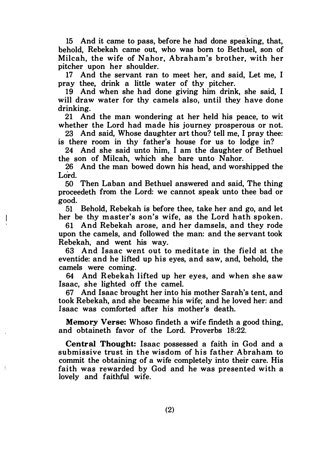15 And it came to pass, before he had done speaking, that, behold, Rebekah came out, who was born to Bethuel, son of Milcah, the wife of Nahor, Abraham's brother, with her pitcher upon her shoulder.

17 And the servant ran to meet her, and said, Let me, I pray thee, drink a little water of thy pitcher.

19 And when she had done giving him drink, she said, I will draw water for thy camels also, until they have done drinking.

21 And the man wondering at her held his peace, to wit whether the Lord had made his journey prosperous or not.

23 And said, Whose daughter art thou? tell me, I pray thee: is there room in thy father's house for us to lodge in?

24 And she said unto him, I am the daughter of Bethuel the son of Milcah, which she bare unto Nahor.

26 And the man bowed down his head, and worshipped the Lord.

50 Then Laban and Bethuel answered and said, The thing proceedeth from the Lord: we cannot speak unto thee bad or good.

51 Behold, Rebekah is before thee, take her and go, and let her be thy m aster's son's wife, as the Lord h ath spoken.

 $\overline{\phantom{a}}$ 

 $\ddot{\phantom{a}}$ 

61 And Rebekah arose, and her damsels, and they rode upon the camels, and followed the man: and the servant took Rebekah, and went his way.

63 And Isaac went out to meditate in the field at the eventide: and he lifted up his eyes, and saw, and, behold, the camels were coming.

64 And Rebekah lifted up her eyes, and when she saw Isaac, she lighted off the camel.

67 And Isaac brought her into his mother Sarah's tent, and took Rebekah, and she became his wife; and he loved her: and Isaac was comforted after his mother's death.

Memory Verse: Whoso findeth a wife findeth a good thing, and obtaineth favor of the Lord. Proverbs 18:22.

Central Thought: Isaac possessed a faith in God and a submissive trust in the wisdom of his father Abraham to commit the obtaining of a wife completely into their care. His faith was rewarded by God and he was presented with a lovely and faithful wife.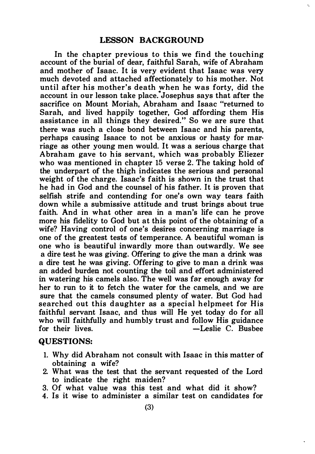In the chapter previous to this we find the touching account of the burial of dear, faithful Sarah, wife of Abraham and mother of Isaac. It is very evident that Isaac was very much devoted and attached affectionately to his mother. Not until after his mother's death when he was forty, did the account in our lesson take place. Josephus says that after the sacrifice on Mount Moriah, Abraham and Isaac "returned to Sarah, and lived happily together, God affording them His assistance in all things they desired." So we are sure that there was such a close bond between Isaac and his parents, perhaps causing Isaace to not be anxious or hasty for marriage as other young men would. It was a serious charge that Abraham gave to his servant, which was probably Eliezer who was mentioned in chapter 15 verse 2. The taking hold of the underpart of the thigh indicates the serious and personal weight of the charge. Isaac's faith is shown in the trust that he had in God and the counsel of his father. It is proven that selfish strife and contending for one's own way tears faith down while a submissive attitude and trust brings about true faith. And in what other area in a man's life can he prove more his fidelity to God but at this point of the obtaining of a wife? Having control of one's desires concerning marriage is one of the greatest tests of temperance. A beautiful woman is one who is beautiful inwardly more than outwardly. We see a dire test he was giving. Offering to give the man a drink was a dire test he was giving. Offering to give to man a drink was an added burden not counting the toil and effort administered in watering his camels also. The well was far enough away for her to run to it to fetch the water for the camels, and we are sure that the camels consumed plenty of water. But God had searched out this daughter as a special helpmeet for His faithful servant Isaac, and thus will He yet today do for all who will faithfully and humbly trust and follow His guidance<br>for their lives.  $\begin{array}{c} -\text{Leslie C. Busbee} \end{array}$  $-I$ eslie C. Busbee.

#### QUESTIONS:

- 1. Why did Abraham not consult with Isaac in this matter of obtaining a wife?
- 2. What was the test that the servant requested of the Lord to indicate the right maiden?
- 3. Of what value was this test and what did it show?
- 4. Is it wise to administer a similar test on candidates for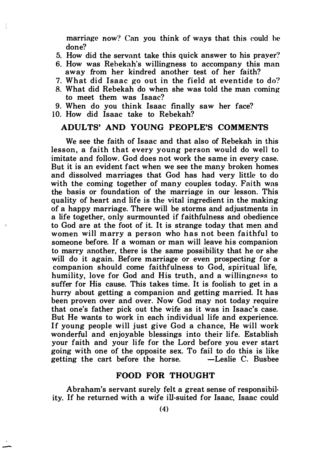marriage now? Can you think of ways that this eould he done?

- 5. How did the servant take this quick answer to his prayer'!
- 6. How was Rebekah's willingness to accompany this man away from her kindred another test of her faith?
- 7. What did Isaac go out in the field at eventide to do?
- 8. What did Rebekah do when she was told the man eoming to meet them was Isaac?
- 9. When do you think Isaac finally saw her face?
- 10. How did Isaac take to Rebekah?

 $\frac{1}{2}$ 

 $\overline{1}$ 

#### ADULTS' AND YOUNG PEOPLE'S COMMENTS

We see the faith of Isaac and that also of Rebekah in this lesson, a faith that every young person would do well to imitate and follow. God does not work the same in every case. But it is an evident fact when we see the many broken homes and dissolved marriages that God has had very little to do with the coming together of many couples today. Faith was the basis or foundation of the marriage in our lesson. This quality of heart and life is the vital ingredient in the making of a happy marriage. There will be storms and adjustments in a life together, only surmounted if faithfulness and obedience to God are at the foot of it. It is strange today that men and women will marry a person who has not been faithful to someone before. If a woman or man will leave his companion to marry another, there is the same possibility that he or she will do it again. Before marriage or even prospecting for a companion should come faithfulness to God, spiritual life, humility, love for God and His truth, and a willingness to suffer for His cause. This takes time. It is foolish to get in a hurry about getting a companion and getting married. It has been proven over and over. Now God may not today require that one's father pick out the wife as it was in Isaac's case. But He wants to work in each individual life and experience. If young people will just give God a chance, He will work wonderful and enjoyable blessings into their life. Establish your faith and your life for the Lord before you ever start going with one of the opposite sex. To fail to do this is like getting the cart before the horse.

#### FOOD FOR THOUGHT

Abraham's servant surely felt a great sense of responsibility. If he returned with a wife ill-suited for Isaac, Isaac could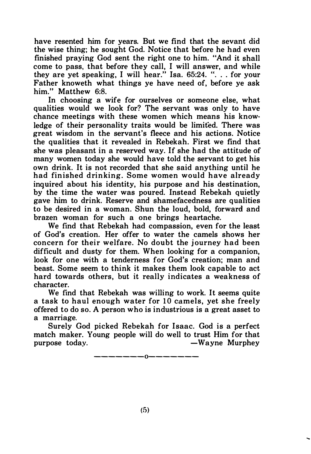have resented him for years. But we find that the sevant did the wise thing; he sought God. Notice that before he had even finished praying God sent the right one to him. "And it shall come to pass, that before they call, I will answer, and while they are yet speaking, I will hear." Isa.  $65:24.$  "... for your Father knoweth what things ye have need of, before ye ask him." Matthew 6:8.

In choosing a wife for ourselves or someone else, what qualities would we look for? The servant was only to have chance meetings with these women which means his know· ledge of their personality traits would be limited. There was great wisdom in the servant's fleece and his actions. Notice the qualities that it revealed in Rebekah. First we find that she was pleasant in a reserved way. If she had the attitude of many women today she would have told the servant to get his own drink. It is not recorded that she said anything until he had finished drinking. Some women would have already inquired about his identity, his purpose and his destination, by the time the water was poured. Instead Rebekah quietly gave him to drink. Reserve and shamefacedness are qualities to be desired in a woman. Shun the loud, bold, forward and brazen woman for such a one brings heartache.

We find that Rebekah had compassion, even for the least of God's creation. Her offer to water the camels shows her concern for their welfare. No doubt the journey had been difficult and dusty for them. When looking for a companion, look for one with a tenderness for God's creation; man and beast. Some seem to think it makes them look capable to act hard towards others, but it really indicates a weakness of character.

We find that Rebekah was willing to work. It seems quite a task to haul enough water for 10 camels, yet she freely offered to do so. A person who is industrious is a great asset to a marriage.

Surely God picked Rebekah for Isaac. God is a perfect match maker. Young people will do well to trust Him for that  $-Wa$  vne Murphey

-------0-------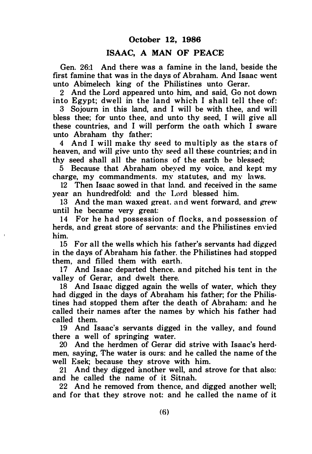#### October 12, 1986

#### ISAAC, A MAN OF PEACE

Gen. 26:1 And there was a famine in the land, beside the first famine that was in the days of Abraham. And Isaac went unto Abimelech king of the Philistines unto Gerar.

2 And the Lord appeared unto him, and said, Go not down into Egypt; dwell in the land which I shall tell thee of:

3 Sojourn in this land, and I will be with thee, and will bless thee; for unto thee, and unto thy seed, I will give all these countries, and I will perform the oath which I sware unto Abraham thy father:

4 And I will make thy seed to multiply as the stars of heaven, and will give unto thy seed all these countries; and in thy seed shall all the nations of the earth be blessed;

5 Because that Abraham obeyed my voice, and kept my charge, my commandments. my statutes, and my laws.

12 Then Isaac sowed in that land, and received in the same year an hundredfold: and the Lord blessed him.

13 And the man waxed great. and went forward, and grew until he became very great:

14 For he had possession of flocks, and possession of herds, and great store of servants: and the Philistines envied him.

15 For all the wells which his father's servants had digged in the days of Abraham his father. the Philistines had stopped them, and filled them with earth.

17 And Isaac departed thence. and pitched his tent in the valley of Gerar, and dwelt there.

18 And Isaac digged again the wells of water, which they had digged in the days of Abraham his father; for the Philis· tines had stopped them after the death of Abraham: and he called their names after the names by which his father had called them.

19 And Isaac's servants digged in the valley, and found there a well of springing water.

20 And the herdmen of Gerar did strive with Isaac's herdmen, saying, The water is ours: and he called the name of the well Esek; because they strove with him.

21 And they digged another well, and strove for that also: and he called the name of it Sitnah.

22 And he removed from thence, and digged another well; and for that they strove not: and he called the name of it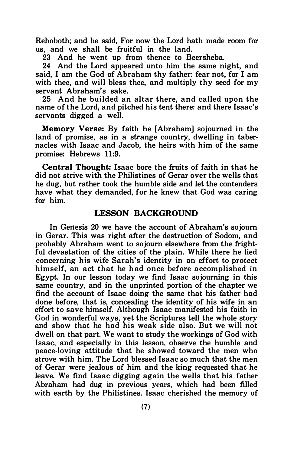Rehoboth; and he said, For now the Lord hath made room for us, and we shall be fruitful in the land.

23 And he went up from thence to Beersheba.

24 And the Lord appeared unto him the same night, and said, I am the God of Abraham thy father: fear not, for I am with thee, and will bless thee, and multiply thy seed for my servant Abraham's sake.

25 And he builded an altar there, and called upon the name of the Lord, and pitched his tent there: and there Isaac's servants digged a well.

Memory Verse: By faith he [Abraham] sojourned in the land of promise, as in a strange country, dwelling in tabernacles with Isaac and Jacob, the heirs with him of the same promise: Hebrews 11:9.

Central Thought: Isaac bore the fruits of faith in that he did not strive with the Philistines of Gerar over the wells that he dug, but rather took the humble side and let the contenders have what they demanded, for he knew that God was caring for him.

#### LESSON BACKGROUND

In Genesis 20 we have the account of Abraham's sojourn in Gerar. This was right after the destruction of Sodom, and probably Abraham went to sojourn elsewhere from the frightful devastation of the cities of the plain. While there he lied concerning his wife Sarah's identity in an effort to protect himself, an act that he had once before accomplished in Egypt. In our lesson today we find Isaac sojourning in this same country, and in the unprinted portion of the chapter we find the account of Isaac doing the same that his father had done before, that is, concealing the identity of his wife in an effort to save himself. Although Isaac manifested his faith in God in wonderful ways, yet the Scriptures tell the whole story and show that he had his weak side also. But we will not dwell on that part. We want to study the workings of God with Isaac, and especially in this lesson, observe the humble and peace-loving attitude that he showed toward the men who strove with him. The Lord blessed Isaac so much that the men of Gerar were jealous of him and the king requested that he leave. We find Isaac digging again the wells that his father Abraham had dug in previous years, which had been filled with earth by the Philistines. Isaac cherished the memory of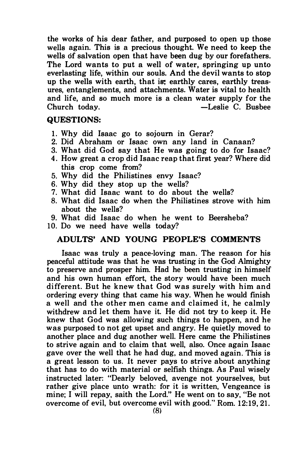the works of his dear father, and purposed to open up those wells again. This is a precious thought. We need to keep the wells of salvation open that have been dug by our forefathers. The Lord wants to put a well of water, springing up unto everlasting life, within our souls. And the devil wants to stop up the wells with earth, that is; earthly cares, earthly treasures, entanglements, and attachments. Water is vital to health and life, and so much more is a clean water supply for the  $\overline{\phantom{a}}$ -Leslie C. Bushee  $-$ Leslie C. Bushee

#### QUESTIONS:

- 1. Why did Isaac go to sojourn in Gerar?
- 2. Did Abraham or Isaac own any land in Canaan?
- 3. What did God say that He was going to do for Isaac?
- 4. How great a crop did Isaac reap that first year? Where did this crop come from?
- 5. Why did the Philistines envy Isaac?
- 6. Why did they stop up the wells?
- 7. What did Isaac want to do about the wells?
- 8. What did Isaac do when the Philistines strove with him about the wells?
- 9. What did Isaac do when he went to Beersheba?
- 10. Do we need have wells today?

#### ADULTS' AND YOUNG PEOPLE'S COMMENTS

Isaac was truly a peace-loving man. The reason for his peaceful attitude was that he was trusting in the God Almighty to preserve and prosper him. Had he been trusting in himself and his own human effort, the story would have been much different. But he knew that God was surely with him and ordering every thing that came his way. When he would finish a well and the other men came and claimed it, he calmly withdrew and let them have it. He did not try to keep it. He knew that God was allowing such things to happen, and he was purposed to not get upset and angry. He quietly moved to another place and dug another well. Here came the Philistines to strive again and to claim that well, also. Once again Isaac gave over the well that he had dug, and moved again. This is a great lesson to us. It never pays to strive about anything that has to do with material or selfish things. As Paul wisely instructed later: "Dearly beloved, avenge not yourselves, but rather give place unto wrath: for it is written, Vengeance is mine; I will repay, saith the Lord." He went on to say, "Be not overcome of evil, but overcome evil with good." Rom. 12:19, 21.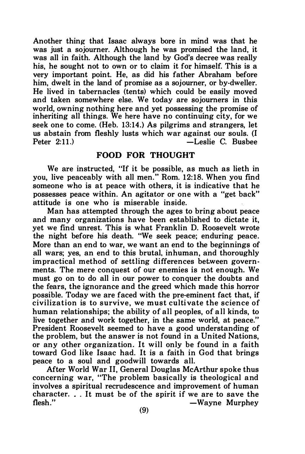Another thing that Isaac always bore in mind was that he was just a sojourner. Although he was promised the land, it was all in faith. Although the land by God's decree was really his, he sought not to own or to claim it for himself. This is a very important point. He, as did his father Abraham before him, dwelt in the land of promise as a sojourner, or by-dweller. He lived in tabernacles (tents) which could be easily moved and taken somewhere else. We today are sojourners in this world, owning nothing here and yet possessing the promise of inheriting all things. We here have no continuing city, for we seek one to come. (Heb. 13:14.) As pilgrims and strangers, let us abstain from fleshly lusts which war against our souls. (I -Leslie C. Busbee

#### FOOD FOR THOUGHT

We are instructed, "If it be possible, as much as lieth in you, live peaceably with all men." Rom. 12:18. When you find someone who is at peace with others, it is indicative that he possesses peace within. An agitator or one with a "get back" attitude is one who is miserable inside.

Man has attempted through the ages to bring about peace and many organizations have been established to dictate it, yet we find unrest. This is what Franklin D. Roosevelt wrote the night before his death. "We seek peace; enduring peace. More than an end to war, we want an end to the beginnings of all wars; yes, an end to this brutal, inhuman, and thoroughly impractical method of settling differences between governments. The mere conquest of our enemies is not enough. We must go on to do all in our power to conquer the doubts and the fears, the ignorance and the greed which made this horror possible. Today we are faced with the pre-eminent fact that, if civilization is to survive, we must culti vate the science of human relationships; the ability of all peoples, of all kinds, to live together and work together, in the same world, at peace." President Roosevelt seemed to have a good understanding of the problem, but the answer is not found in a United Nations, or any other organization. It will only be found in a faith toward God like Isaac had. It is a faith in God that brings peace to a soul and goodwill towards all.

After World War II, General Douglas McArthur spoke thus concerning war, "The problem basically is theological and involves a spiritual recrudescence and improvement of human character. . . It must be of the spirit if we are to save the flesh."  $-$ Wavne Murphev -Wayne Murphey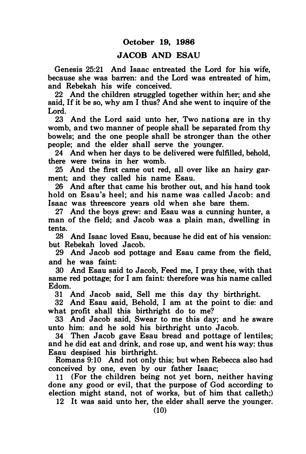#### JACOB AND ESAU

Genesis 25:21 And Isaac entreated the Lord for his wife, because she was barren: and the Lord was entreated of him, and Rebekah his wife conceived.

22 And the children struggled together within her; and she said, If it be so, why am I thus? And she went to inquire of the Lord.

23 And the Lord said unto her, Two nations are in thy womb, and two manner of people shall be separated from thy bowels; and the one people shall be stronger than the other people; and the elder shall serve the younger.

24 And when her days to be delivered were fulfilled, behold, there were twins in her womb.

25 And the first came out red, all over like an hairy garment; and they called his name Esau.

26 And after that came his brother out, and his hand took hold on Esau's heel; and his name was called Jacob: and Isaac was threescore years old when she bare them.

27 And the boys grew: and Esau was a cunning hunter, a man of the field; and Jacob was a plain man, dwelling in tents.

28 And Isaac loved Esau, because he did eat of his vension: but Rebekah loved Jacob.

29 And Jacob sod pottage and Esau came from the field, and he was faint:

30 And Esau said to Jacob, Feed me, I pray thee, with that same red pottage; for I am faint: therefore was his name called Ed om.

31 And Jacob said, Sell me this day thy birthright.

32 And Esau said, Behold, I am at the point to die: and what profit shall this birthright do to me?

33 And Jacob said, Swear to me this day; and he sware unto him: and he sold his birthright unto Jacob.

34 Then Jacob gave Esau bread and pottage of lentiles; and he did eat and drink, and rose up, and went his way: thus Esau despised his birthright.

Romans 9:10 And not only this; but when Rebecca also had conceived by one, even by our father Isaac;

11 (For the children being not yet born, neither having done any good or evil, that the purpose of God according to election might stand, not of works, but of him that calleth;)

12 It was said unto her, the elder shall serve the younger.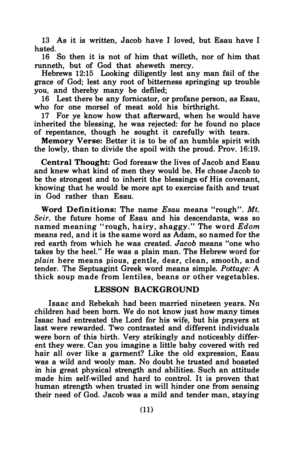13 As it is written, Jacob have I loved, but Esau have I hated.

16 So then it is not of him that willeth, nor of him that runneth, but of God that sheweth mercy.

Hebrews 12:15 Looking diligently lest any man fail of the grace of God; lest any root of bitterness springing up trouble you, and thereby many be defiled;

16 Lest there be any fornicator, or profane person, as Esau, who for one morsel of meat sold his birthright.

17 For ye know how that afterward, when he would have inherited the blessing, he was rejected: for he found no place of repentance, though he sought it carefully with tears.

Memory Verse: Better it is to be of an humble spirit with the lowly, than to divide the spoil with the proud. Prov. 16:19.

Central Thought: God foresaw the lives of Jacob and Esau and knew what kind of men they would be. He chose Jacob to be the strongest and to inherit the blessings of His covenant. knowing that he would be more apt to exercise faith and trust in God rather than Esau.

Word Definitions: The name Esau means "rough". Mt. Seir, the future home of Esau and his descendants, was so named meaning "rough, hairy, shaggy." The word Edom means red, and it is the same word as Adam, so named for the red earth from which he was created. *Jacob* means "one who takes by the heel." He was a plain man. The Hebrew word for plain here means pious, gentle, dear, clean, smooth, and tender. The Septuagint Greek word means simple. Pottage: A thick soup made from lentiles, beans or other vegetables.

#### LESSON BACKGROUND

Isaac and Rebekah had been married nineteen years. No children had been born. We do not know just how many times Isaac had entreated the Lord for his wife, but his prayers at last were rewarded. Two contrasted and different individuals were born of this birth. Very strikingly and noticeably different they were. Can you imagine a little baby covered with red hair all over like a garment? Like the old expression, Esau was a wild and wooly man. No doubt he trusted and boasted in his great physical strength and abilities. Such an attitude made him self-willed and hard to control. It is proven that human strength when trusted in will hinder one from sensing their need of God. Jacob was a mild and tender man, staying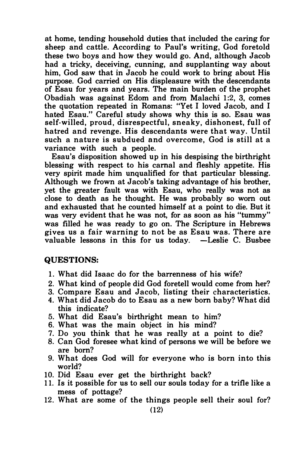at home, tending household duties that included the caring for sheep and cattle. According to Paul's writing, God foretold these two boys and how they would go. And, although Jacob had a tricky, deceiving, cunning, and supplanting way about him, God saw that in Jacob he could work to bring about His purpose. God carried on His displeasure with the descendants of Esau for years and years. The main burden of the prophet Obadiah was against Edom and from Malachi 1:2, 3, comes the quotation repeated in Romans: "Yet I loved Jacob, and I hated Esau." Careful study shows why this is so. Esau was self-willed, proud, disrespectful, sneaky, dishonest, full of hatred and revenge. His descendants were that way. Until such a nature is subdued and overcome, God is still at a variance with such a people.

Esau's disposition showed up in his despising the birthright blessing with respect to his carnal and fleshly appetite. His very spirit made him unqualified for that particular blessing. Although we frown at Jacob's taking advantage of his brother, yet the greater fault was with Esau, who really was not as close to death as he thought. He was probably so worn out and exhausted that he counted himself at a point to die. But it was very evident that he was not, for as soon as his "tummy" was filled he was ready to go on. The Scripture in Hebrews gives us a fair warning to not be as Esau was. There are valuable lessons in this for us today.  $-\epsilon$ Leslie C. Busbee

#### QUESTIONS:

- 1. What did Isaac do for the barrenness of his wife?
- 2. What kind of people did God foretell would come from her?
- 3. Compare Esau and Jacob, listing their characteristics.
- 4. What did Jacob do to Esau as a new born baby? What did this indicate?
- 5. What did Esau's birthright mean to him?
- 6. What was the main object in his mind?
- 7. Do you think that he was really at a point to die?
- 8. Can God foresee what kind of persons we will be before we are born?
- 9. What does God will for everyone who is born into this world?
- 10. Did Esau ever get the birthright back?
- 1 1. Is it possible for us to sell our souls today for a trifle like a mess of pottage?
- 12. What are some of the things people sell their soul for?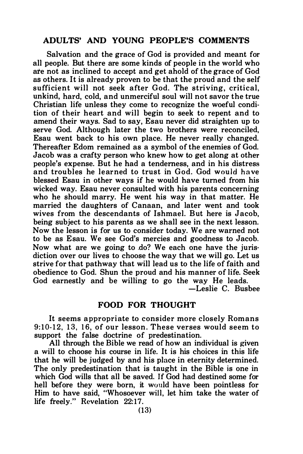#### ADULTS' AND YOUNG PEOPLE'S COMMENTS

Salvation and the grace of God is provided and meant for all people. But there are some kinds of people in the world who ate not as inclined to accept and get ahold of the grace of God as others. It is already proven to be that the proud and the self sufficient will not seek after God. The striving, critical, unkind, hard, cold, and unmerciful soul will not savor the true Christian life unless they come to recognize the woeful condition of their heart and will begin to seek to repent and to amend their ways. Sad to say, Esau never did straighten up to serve God. Although later the two brothers were reconciled, Esau went back to his own place. He never really changed. Thereafter Edom remained as a symbol of the enemies of God. Jacob was a crafty person who knew how to get along at other people's expense. But he had a tenderness, and in his distress and troubles he learned to trust in God. God would have blessed Esau in other ways if he would have turned from his wicked way. Esau never consulted with his parents concerning who he should marry. He went his way in that matter. He married the daughters of Canaan, and later went and took wives from the descendants of Ishmael. But here is Jacob, being subject to his parents as we shall see in the next lesson. Now the lesson is for us to consider today. We are warned not to be as Esau. We see God's mercies and goodness to Jacob. Now what are we going to .do? We each one have the jurisdiction over our lives to choose the way that we will go. Let us strive for that pathway that will lead us to the life of faith and obedience to God. Shun the proud and his manner of life. Seek God earnestly and be willing to go the way He leads.

-Leslie C. Busbee

#### FOOD FOR THOUGHT

It seems a ppropriate to consider more closely Romans 9:10-12, 13, 16, of our lesson. These verses would seem to support the false doctrine of predestination.

All through the Bible we read of how an individual is given a will to choose his course in life. It is his choices in this life that he will be judged by and his place in eternity determined. The only predestination that is taught in the Bible is one in which God wills that all be saved. If God had destined some for hell before they were born, it would have been pointless for Him to have said, "Whosoever will, let him take the water of life freely." Revelation 22:17.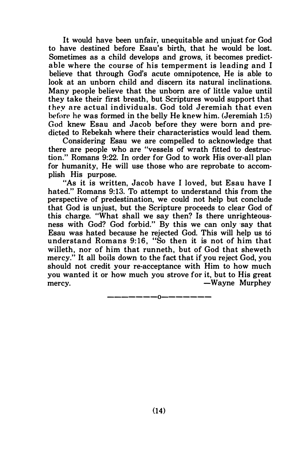It would have been unfair, unequitable and unjust for God to have destined before Esau's birth, that he would be lost. Sometimes as a child develops and grows, it becomes predictable where the course of his temperment is leading and I believe that through God's acute omnipotence, He is able to look at an unborn child and discern its natural inclinations. Many people believe that the unborn are of little value until they take their first breath, but Scriptures would support that before he was formed in the belly He knew him. (Jeremiah 1:5) God knew Esau and Jacob before they were born and predicted to Rebekah where their characteristics would lead them.

Considering Esau we are compelled to acknowledge that there are people who are "vessels of wrath fitted to destruction." Romans 9:22. In order for God to work His over-all plan for humanity, He will use those who are reprobate to accomplish His purpose.

"As it is written, Jacob have I loved, but Esau have I hated." Romans 9:13. To attempt to understand this from the perspective of predestination, we could not help but conclude that God is unjust, but the Scripture proceeds to clear God of this charge. "What shall we say then? Is there unrighteousness with God? God forbid." By this we can only say that Esau was hated because he rejected God. This will help us to understand Romans 9:16, "So then it is not of him that willeth, nor of him that runneth, but of God that sheweth mercy." It all boils down to the fact that if you reject God, you should not credit your re-acceptance with Him to how much you wanted it or how much you strove for it, but to His great<br>mercy.  $\qquad$ —Wayne Murphey -Wayne Murphey

-------0-------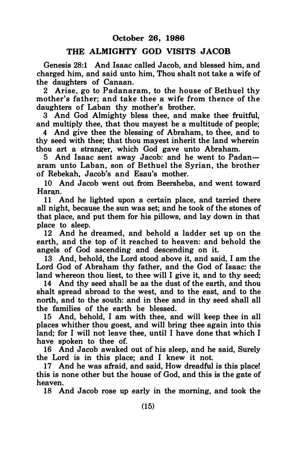#### THE ALMIGHTY GOD VISITS JACOB

Genesis 28:1 And Isaac called Jacob, and blessed him, and charged him, and said unto him, Thou shalt not take a wife of the daughters of Canaan.

2 Arise, go to Padanaram, to the house of Bethuel thy mother's father; and take thee a wife from thence of the daughters of Laban thy mother's brother.

3 And God Almighty bless thee, and make thee fruitful and multiply thee, that thou may est be a multitude of people:

4 And give thee the blessing of Abraham, to thee, and to thy seed with thee; that thou mayest inherit the land wherein thou art a stran�er, which God gave unto Abraham.

5 And Isaac sent away Jacob: and he went to Padanaram unto Laban, son of Bethuel the Syrian, the brother of Rebekah, Jacob's and Esau's mother.

10 And Jacob went out from Beersheba, and went toward Haran.

11 And he lighted upon a certain place, and tarried there all night, because the sun was set; and he took of the stones of that place, and put them for his pillows, and lay down in that place to sleep.

12 And he dreamed, and behold a ladder set up on the earth, and the top of it reached to heaven: and behold the angels of God ascending and descending on it.

13 And, behold, the Lord stood above it, and said, I am the Lord God of Abraham thy father, and the God of Isaac: the land whereon thou liest, to thee will I give it, and to thy seed;

14 And thy seed shall be as the dust of the earth, and thou shalt spread abroad to the west, and to the east, and to the north, and to the south: and in thee and in thy seed shall all the families of the earth be blessed.

15 And, behold, I am with thee, and will keep thee in all places whither thou goest, and will bring thee again into this land; for I will not leave thee, until I have done that which I have spoken to thee of.

16 And Jacob awaked out of his sleep, and he said, Surely the Lord is in this place; and I knew it not.

17 And he was afraid, and said, How dreadful is this place! this is none other but the house of God, and this is the gate of heaven.

18 And Jacob rose up early in the morning, and took the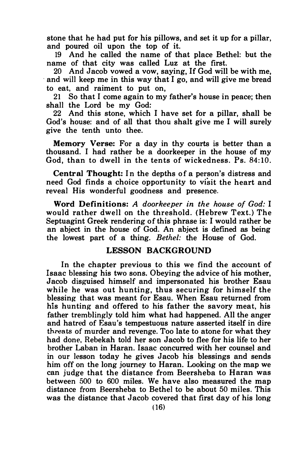stone that he had put for his pillows, and set it up for a pillar, and poured oil upon the top of it.

19 And he called the name of that place Bethel: but the name of that city was called Luz at the first.

20 And Jacob vowed a vow, saying, If God will be with me, , and will keep me in this way that I go, and will give me bread to eat, and raiment to put on,

21 So that I come again to my father's house in peace; then shall the Lord be my God:

22 And this stone, which I have set for a pillar, shall be God's house: and of all that thou shalt give me I will surely give the tenth unto thee.

Memory Verse: For a day in thy courts is better than a thousand. I had rather be a doorkeeper in the house of my God, than to dwell in the tents of wickedness. Ps. 84:10.

Central Thought: In the depths of a person's distress and need God finds a choice opportunity to visit the heart and reveal His wonderful goodness and presence.

Word Definitions: A doorkeeper in the house of God: I would rather dwell on the threshold. (Hebrew Text.) The Septuagint Greek rendering of this phrase is: I would rather be an abject in the house of God. An abject is defined as being the lowest part of a thing. Bethel: the House of God.

#### LESSON BACKGROUND

In the chapter previous to this we find the account of Isaac blessing his two sons. Obeying the advice of his mother, Jacob disguised himself and impersonated his brother Esau while he was out hunting, thus securing for himself the blessing that was meant for Esau. When Esau returned from his hunting and offered to his father the savory meat, his father tremblingly told him what had happened. All the anger and hatred of Esau's tempestuous nature asserted itself in dire threats of murder and revenge. Too late to atone for what they had done, Rebekah told her son Jacob to flee for his life to her brother Laban in Haran. Isaac concurred with her counsel and in our lesson today he gives Jacob his blessings and sends him off on the long journey to Haran. Looking on the map we can judge that the distance from Beersheba to Haran was between 500 to 600 miles. We have also measured the map distance from Beersheba to Bethel to be about 50 miles. This was the distance that Jacob covered that first day of his long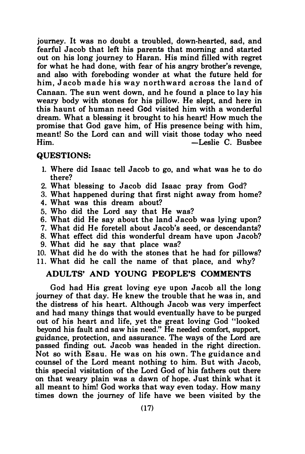journey. It was no doubt a troubled, down-hearted, sad, and fearful Jacob that left his parents that morning and started out on his long journey to Haran. His mind filled with regret for what he had done, with fear of his angry brother's revenge, and also with foreboding wonder at what the future held for him, J acob made his way northward across the land of Canaan. The sun went down, and he found a place to lay his weary body with stones for his pillow. He slept, and here in this haunt of human need God visited him with a wonderful dream. What a blessing it brought to his heart! How much the promise that God gave him, of His presence being with him, meant! So the Lord can and will visit those today who need Him. - Leslie C. Busbee

#### QUESTIONS:

- 1. Where did Isaac tell Jacob to go, and what was he to do there?
- 2. What blessing to Jacob did Isaac pray from God?
- 3. What happened during that first night away from home?
- 4. What was this dream about?
- 5. Who did the Lord say that He was?
- 6. What did He say about the land Jacob was lying upon?
- 7. What did He foretell about Jacob's seed, or descendants?
- 8. What effect did this wonderful dream have upon Jacob?
- 9. What did he say that place was?
- 10. What did he do with the stones that he had for pillows? 11. What did he call the name of that place, and why?

#### ADULTS' AND YOUNG PEOPLE'S COMMENTS

God had His great loving eye upon Jacob all the long journey of that day. He knew the trouble that he was in, and the distress of his heart. Although Jacob was very imperfect and had many things that would eventually have to be purged out of his heart and life, yet the great loving God "looked beyond his fault and saw his need." He needed comfort, support, guidance, protection, and assurance. The ways of the Lord are passed finding out. Jacob was headed in the right direction. Not so with Esau. He was on his own. The guidance and counsel of the Lord meant nothing to him. But with Jacob, this special visitation of the Lord God of his fathers out there on that weary plain was a dawn of hope. Just think what it all meant to him! God works that way even today. How many times down the journey of life have we been visited by the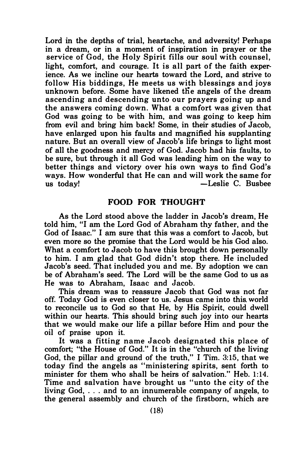Lord in the depths of trial, heartache, and adversity! Perhaps in a dream, or in a moment of inspiration in prayer or the service of God, the Holy Spirit fills our soul with counsel, light, comfort, and courage. It is all part of the faith experience. As we incline our hearts toward the Lord, and strive to follow His biddings, He meets us with blessings and joys unknown before. Some have likened the angels of the dream ascending and descending unto our prayers going up and the answers coming down. What a comfort was given that God was going to be with him, and was going to keep him from evil and bring him back! Some, in their studies of Jacob, have enlarged upon his faults and magnified his supplanting nature. But an overall view of Jacob's life brings to light most of all the goodness and mercy of God. Jacob had his faults, to be sure, but through it all God was leading him on the way to better things and victory over his own ways to find God's ways. How wonderful that He can and will work the same for us today! -Leslie C. Busbee

#### FOOD FOR THOUGHT

As the Lord stood above the ladder in Jacob's dream, He told him, "I am the Lord God of Abraham thy father, and the God of Isaac." I am sure that this was a comfort to Jacob, but even more so the promise that the Lord would be his God also. What a comfort to Jacob to have this brought down personally to him. I am glad that God didn't stop there. He included Jacob's seed. That included you and me. By adoption we can be of Abraham's seed. The Lord will be the same God to us as He was to Abraham, Isaac and Jacob.

This dream was to reassure Jacob that God was not far off. Today God is even closer to us. Jesus came into this. world to reconcile us to God so that He, by His Spirit, could dwell within our hearts. This should bring such joy into our hearts that we would make our life a pillar before Him and pour the oil of praise upon it.

It was a fitting name Jacob designated this place of comfort; "the House of God." It is in the "church of the living God, the pillar and ground of the truth," I Tim. 3:15, that we today find the angels as "ministering spirits, sent forth to minister for them who shall be heirs of salvation." Heb. 1:14. Time and salvation have brought us "unto the city of the living God, ... and to an innumerable company of angels, to the general assembly and church of the firstborn, which are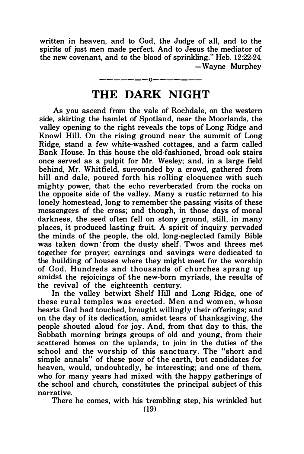written in heaven, and to God, the Judge of all, and to the spirits of just men made perfect. And to Jesus the mediator of the new covenant, and to the blood of sprinkling." Heb. 12:22-24. -Wayne Murphey

## -------0------- THE DARK NIGHT

As you ascend from the vale of Rochdale, on the western side, skirting the hamlet of Spotland, near the Moorlands, the valley opening to the right reveals the tops of Long Ridge and Knowl Hill. On the rising ground near the summit of Long Ridge, stand a few white-washed cottages, and a farm called Bank House. In this house the old-fashioned, broad oak stairs once served as a pulpit for Mr. Wesley; and, in a large field behind, Mr. Whitfield, surrounded by a crowd, gathered from hill and dale, poured forth his rolling eloquence with such mighty power, that the echo reverberated from the rocks on the opposite side of the valley. Many a rustic returned to his lonely homestead, long to remember the passing visits of these messengers of the cross; and though, in those days of moral darkness, the seed often fell on stony ground, still, in many places, it produced lasting fruit. A spirit of inquiry pervaded the minds of the people, the old, long-neglected family Bible was taken down from the dusty shelf. Twos and threes met together for prayer; earnings and savings were dedicated to the building of houses where they might meet for the worship of God. Hundreds and thousands of churches sprang up amidst the rejoicings of the new-born myriads, the results of the revival of the eighteenth century.

In the valley betwixt Shelf Hill and Long Ridge, one of these rural temples was erected. Men and women, whose hearts God had touched, brought willingly their offerings; and on the day of its dedication, amidst tears of thanksgiving, the people shouted aloud for joy. And, from that day to this, the Sabbath morning brings groups of old and young, from their scattered homes on the uplands, to join in the duties of the school and the worship of this sanctuary. The "short and simple annals" of these poor of the earth, but candidates for heaven, would, undoubtedly, be interesting; and one of them, who for many years had mixed with the happy gatherings of the school and church, constitutes the principal subject of this narrative.

There he comes, with his trembling step, his wrinkled but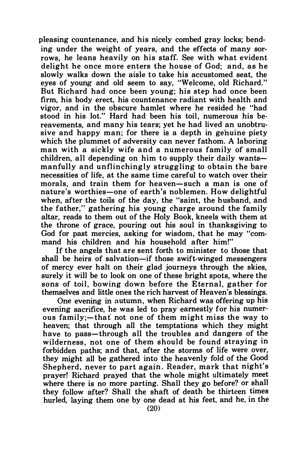pleasing countenance, and his nicely combed gray locks; bending under the weight of years, and the effects of many sorrows, he leans heavily on his staff. See with what evident delight he once more enters the house of God; and, as he slowly walks down the aisle to take his accustomed seat, the eyes of young and old seem to say, "Welcome, old Richard." But Richard had once been young; his step had once been firm, his body erect, his countenance radiant with health and vigor, and in the obscure hamlet where he resided he "had stood in his lot." Hard had been his toil, numerous his bereavements, and many his tears; yet he had lived an unobtrusive and happy man; for there is a depth in genuine piety which the plummet of adversity can never fathom. A laboring man with a sickly wife and a numerous family of small children, all depending on him to supply their daily wantsmanfully and unflinchingly s truggling to obtain the bare necessities of life, at the same time careful to watch over their morals, and train them for heaven-such a man is one of nature's worthies-one of earth's noblemen. How delightful when, after the toils of the day, the "saint, the husband, and the father," gathering his young charge around the family altar, reads to them out of the Holy Book, kneels with them at the throne of grace, pouring out his soul in thanksgiving to God for past mercies, asking for wisdom, that he may "command his children and his household after him!"

If the angels that are sent forth to minister to those that shall be heirs of salvation-if those swift-winged messengers of mercy ever halt on their glad journeys through the skies, surely it will be to look on one of these bright spots, where the sons of toil, bowing down before the Eternal, gather for themselves and little ones the rich harvest of Heaven's blessings.

One evening in autumn, when Richard was offering up his evening sacrifice, he was led to pray earnestly for his numerous family:-that not one of them might miss the way to heaven; that through all the temptations which they might have to pass—through all the troubles and dangers of the wilderness, not one of them should be found straying in forbidden paths; and that, after the storms of life were over, they might all be gathered into the heavenly fold of the Good Shepherd, never to part again. Reader, mark that night's prayer! Richard prayed that the whole might ultimately meet where there is no more parting. Shall they go before? or shall they follow after? Shall the shaft of death be thirteen times hurled, laying them one by one dead at his feet, and he, in the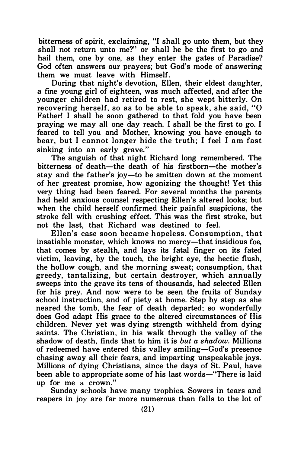bitterness of spirit, exclaiming, "I shall go unto them, but they shall not return unto me?" or shall he be the first to go and hail them, one by one, as they enter the gates of Paradise? God often answers our prayers; but God's mode of answering them we must leave with Himself.

During that night's devotion, Ellen, their eldest daughter, a fine young girl of eighteen, was much affected, and after the younger children had retired to rest, she wept bitterly. On recovering herself, so as to be able to speak, she said, "0 Father! I shall be soon gathered to that fold you have been praying we may all one day reach. I shall be the first to go. I feared to tell you and Mother, knowing you have enough to bear, but I cannot longer hide the truth; I feel I am fast sinking into an early grave."

The anguish of that night Richard long remembered. The bitterness of death-the death of his firstborn-the mother's stay and the father's joy-to be smitten down at the moment of her greatest promise, how agonizing the thought! Yet this very thing had been feared. For several months the parents had held anxious counsel respecting Ellen's altered looks; but when the child herself confirmed their painful suspicions, the stroke fell with crushing effect. This was the first stroke, but not the last, that Richard was destined to feel.

Ellen's case soon became hopeless. Consumption, that insatiable monster, which knows no mercy-that insidious foe, that comes by stealth, and lays its fatal finger on its fated victim, leaving, by the touch, the bright eye, the hectic flush, the hollow cough, and the morning sweat; consumption, that greedy, tantalizing, but certain destroyer, which annually sweeps into the grave its tens of thousands, had selected Ellen for his prey. And now were to be seen the fruits of Sunday school instruction, and of piety at home. Step by step as she neared the tomb, the fear of death departed; so wonderfully does God adapt His grace to the altered circumstances of His children. Never yet was dying strength withheld from dying saints. The Christian, in his walk through the valley of the shadow of death, finds that to him it is but a shadow. Millions of redeemed have entered this valley smiling-God's presence chasing away all their fears, and imparting unspeakable joys. Millions of dying Christians, since the days of St. Paul, have been able to appropriate some of his last words-"There is laid up for me a crown."

Sunday schools have many trophies. Sowers in tears and reapers in joy are far more numerous than falls to the lot of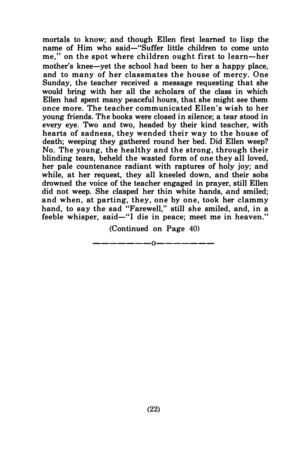mortals to know; and though Ellen first learned to lisp the name of Him who said-"Suffer little children to come unto me," on the spot where children ought first to learn-her mother's knee-yet the school had been to her a happy place, and to many of her classmates the house of mercy. One Sunday, the teacher received a message requesting that she would bring with her all the scholars of the class in which Ellen had spent many peaceful hours, that she might see them once more. The teacher communicated Ellen's wish to her young friends. The books were closed in silence; a tear stood in every eye. Two and two, headed by their kind teacher, with hearts of sadness, they wended their way to the house of death; weeping they gathered round her bed. Did Ellen weep? No. The young, the healthy and the strong, through their blinding tears, beheld the wasted form of one they all loved, her pale countenance radiant with raptures of holy joy; and while, at her request, they all kneeled down, and their sobs drowned the voice of the teacher engaged in prayer, still Ellen did not weep. She clasped her thin white hands, and smiled: and when, at parting, they, one by one, took her clammy hand, to say the sad "Farewell," still she smiled, and, in a feeble whisper, said—"I die in peace: meet me in heaven."

> (Continued on Page 40) -------0-------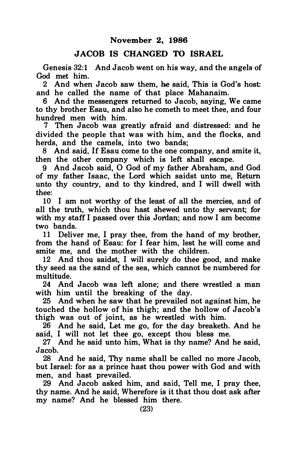#### JACOB IS CHANGED TO ISRAEL

Genesis 32:1 And Jacob went on his way, and the angels of God met him.

2 And when Jacob saw them, he said, This is God's host: and he called the name of that place Mahanaim.

6 And the messengers returned to Jacob, saying, We came to thy brother Esau, and also he cometh to meet thee, and four hundred men with him.

7 Then Jacob was greatly afraid and distressed: and he divided the people that was with him, and the flocks, and herds, and the camels, into two bands;

8 And said, If Esau come to the one company, and smite it, then the other company which is left shall escape.

9 And Jacob said, 0 God of my father Abraham, and God of my father Isaac, the Lord which saidst unto me, Return unto thy country, and to thy kindred, and I will dwell with thee:

10 I am not worthy of the least of all the mercies, and of all the truth, which thou hast shewed unto thy servant; for with my staff I passed over this Jordan; and now I am become two bands.

11 Deliver me, I pray thee, from the hand of my brother, from the hand of Esau: for I fear him, lest he will come and smite me, and the mother with the children.

12 And thou saidst, I will surely do thee good, and make thy seed as the sand of the sea, which cannot be numbered for multitude.

24 And Jacob was left alone; and there wrestled a man with him until the breaking of the day.

25 And when he saw that he prevailed not against him, he touched the hollow of his thigh; and the hollow of Jacob's thigh was out of joint, as he wrestled with him.

26 And he said, Let me go, for the day breaketh. And he said, I will not let thee go, except thou bless me.

27 And he said unto him, What is thy name? And he said, Jacob.

28 And he said, Thy name shall be called no more Jacob, but Israel: for as a prince hast thou power with God and with men, and hast prevailed.

29 And Jacob asked him, and said, Tell me, I pray thee, thy name. And he said, Wherefore is it that thou dost ask after my name? And he blessed him there.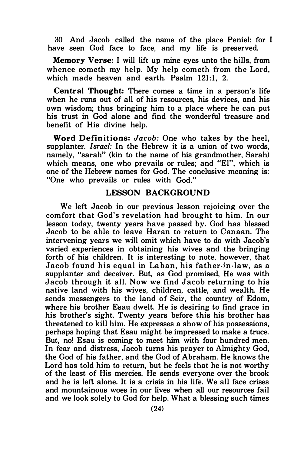30 And Jacob called the name of the place Peniel: for I have seen God face to face, and my life is preserved.

Memory Verse: I will lift up mine eyes unto the hills, from whence cometh my help. My help cometh from the Lord, which made heaven and earth. Psalm 121:1, 2.

Central Thought: There comes a time in a person's life when he runs out of all of his resources, his devices, and his own wisdom; thus bringing him to a place where he can put his trust in God alone and find the wonderful treasure and benefit of His divine help.

Word Definitions: Jacob: One who takes by the heel, supplanter. *Israel*: In the Hebrew it is a union of two words, namely, "sarah" (kin to the name of his grandmother, Sarah) which means, one who prevails or rules; and "El", which is one of the Hebrew names for God. The conclusive meaning is: "One who prevails or rules with God."

#### LESSON BACKGROUND

We left Jacob in our previous lesson rejoicing over the comfort that God's revelation had brought to him. In our lesson today, twenty years have passed by. God has blessed Jacob to be able to leave Haran to return to Canaan. The intervening years we will omit which have to do with Jacob's varied experiences in obtaining his wives and the bringing forth of his children. It is interesting to note, however, that Jacob found his equal in Laban, his father-in-law, as a supplanter and deceiver. But, as God promised, He was with Jacob through it all. Now we find Jacob returning to his native land with his wives, children, cattle, and wealth. He sends messengers to the land of Seir, the country of Edom, where his brother Esau dwelt. He is desiring to find grace in his brother's sight. Twenty years before this his brother has threatened to kill him. He expresses a show of his possessions, perhaps hoping that Esau might be impressed to make a truce. But, no! Esau is coming to meet him with four hundred men. In fear and distress, Jacob turns his prayer to Almighty God, the God of his father, and the God of Abraham. He knows the Lord has told him to return, but he feels that he is not worthy of the least of His mercies. He sends everyone over the brook and he is left alone. It is a crisis in his life. We all face crises and mountainous woes in our lives when all our resources fail and we look solely to God for help. What a blessing such times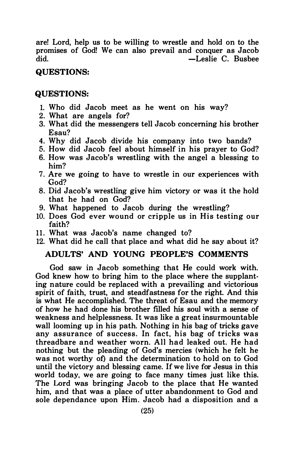are! Lord, help us to be willing to wrestle and hold on to the promises of God! We can also prevail and conquer as Jacob  $-L$ eslie C. Busbee

#### QUESTIONS:

#### QUESTIONS:

- 1. Who did Jacob meet as he went on his way?
- 2. What are angels for?
- 3. What did the messengers tell Jacob concerning his brother Esau?
- 4. Why did Jacob divide his company into two bands?
- 5. How did Jacob feel about himself in his prayer to God?
- 6. How was Jacob's wrestling with the angel a blessing to him?
- 7. Are we going to have to wrestle in our experiences with God?
- 8. Did Jacob's wrestling give him victory or was it the hold that he had on God?
- 9. What happened to Jacob during the wrestling?
- 10. Does God ever wound or cripple us in His testing our faith?
- 11. What was Jacob's name changed to?
- 12. What did he call that place and what did he say about it?

#### ADULTS' AND YOUNG PEOPLE'S COMMENTS

God saw in Jacob something that He could work with. God knew how to bring him to the place where the supplanting nature could be replaced with a prevailing and victorious spirit of faith, trust, and steadfastness for the right. And this is what He accomplished. The threat of Esau and the memory of how he had done his brother filled his soul with a sense of weakness and helplessness. It was like a great insurmountable wall looming up in his path. Nothing in his bag of tricks gave any assurance of success. In fact, his bag of tricks was threadbare and weather worn. All had leaked out. He had nothing but the pleading of God's mercies (which he felt he was not worthy of) and the determination to hold on to God until the victory and blessing came. If we live for Jesus in this world today, we are going to face many times just like this. The Lord was bringing Jacob to the place that He wanted him, and that was a place of utter abandonment to God and sole dependance upon Him. Jacob had a disposition and a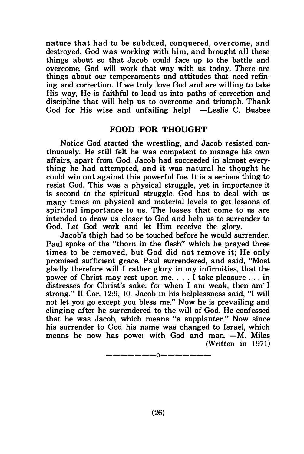nature that had to be subdued, conquered, overcome, and destroyed. God was working with him, and brought all these things about so that Jacob could face up to the battle and overcome. God will work that way with us today. There are things about our temperaments and attitudes that need refining and correction. If we truly love God and are willing to take His way, He is faithful to lead us into paths of correction and discipline that will help us to overcome and triumph. Thank God for His wise and unfailing help!  $-L$ eslie C. Busbee

#### FOOD FOR THOUGHT

Notice God started the wrestling, and Jacob resisted continuously. He still felt he was competent to manage his own affairs, apart from God. Jacob had succeeded in almost everything he had attempted, and it was natural he thought he ening he had attempted, and h was hadded to inought he could win out against this powerful foe. It is a serious thing to resist God. This was a physical struggle, yet in importance it is second to the spiritual struggle. God has to deal with us many times on physical and material levels to get lessons of spiritual importance to us. The losses that come to us are intended to draw us closer to God and help us to surrender to God. Let God work and let Him receive the glory.

Jacob's thigh had to be touched before he would surrender. Paul spoke of the "thorn in the flesh" which he prayed three times to be removed, but God did not remove it; He only promised sufficient grace. Paul surrendered, and said, "Most gladly therefore will I rather glory in my infirmities, that the power of Christ may rest upon me .... I take pleasure ... in distresses for Christ's sake: for when I am weak, then am· I strong." II Cor. 12:9, 10. Jacob in his helplessness said, "I will not let you go except you bless me." Now he is prevailing and clinging after he surrendered to the will of God. He confessed that he was Jacob, which means "a supplanter." Now since his surrender to God his name was changed to Israel, which means he now has power with God and man.  $-M$ . Miles (Written in 1971)

———————0———————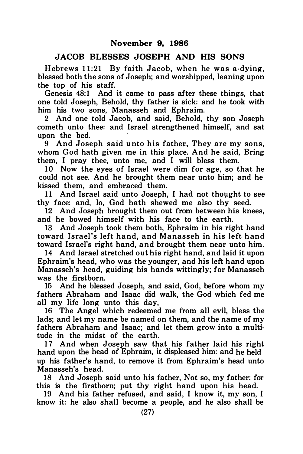#### JACOB BLESSES JOSEPH AND HIS SONS

Hebrews  $11:21$  By faith Jacob, when he was a-dying. blessed both the sons of Joseph; and worshipped, leaning upon the top of his staff.

Genesis 48:1 And it came to pass after these things, that one told Joseph, Behold, thy father is sick: and he took with him his two sons, Manasseh and Ephraim.

2 And one told Jacob, and said, Behold, thy son Joseph cometh unto thee: and Israel strengthened himself, and sat upon the bed.

9 And Joseph said u nto his father, They are my sons, whom God hath given me in this place. And he said, Bring them, I pray thee, unto me, and I will bless them.

10 Now the eyes of Israel were dim for age, so that he could not see. And he brought them near unto him; and he kissed them, and embraced them.

11 And Israel said unto Joseph, I had not thought to see thy face: and, lo, God hath shewed me also thy seed.

12 And Joseph brought them out from between his knees, and he bowed himself with his face to the earth.

13 And Joseph took them both, Ephraim in his right hand toward Israel's left hand, and Manasseh in his left hand toward Israel's right hand, and brought them near unto him.

14 And Israel stretched out his right hand, and laid it upon Ephraim's head, who was the younger, and his left h and upon Manasseh's head, guiding his hands wittingly; for Manasseh was the firstborn.

15 And he blessed Joseph, and said, God, before whom my fathers Abraham and Isaac did walk, the God which fed me all my life long unto this day,

16 The Angel which redeemed me from all evil, bless the lads; and let my name be named on them, and the name of my fathers Abraham and Isaac; and let them grow into a multitude in the midst of the earth.

17 And when Joseph saw that his father laid his right hand upon the head of Ephraim, it displeased him: and he held up his father's hand, to remove it from Ephraim's head unto Manasseh's head.

18 And Joseph said unto his father, Not so, my father: for this is the firstborn; put thy right hand upon his head.

19 And his father refused, and said, I know it, my son, I know it: he also shall become a people, and he also shall be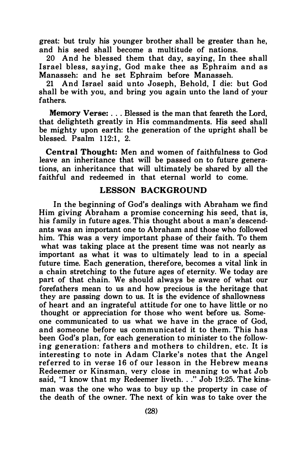great: but truly his younger brother shall be greater than he, and his seed shall become a multitude of nations.

20 And he blessed them that day, saying, In thee shall Israel bless, saving, God make thee as Ephraim and as Manasseh: and he set Ephraim before Manasseh.

21 And Israel said u nto Joseph, Behold, I die: but God shall be with you, and bring you again unto the land of your fathers.

Memory Verse: ... Blessed is the man that feareth the Lord, that delighteth greatly in His commandments. His seed shall be mighty upon earth: the generation of the upright shall be blessed. Psalm 1 12:1, 2.

Central Thought: Men and women of faithfulness to God leave an inheritance that will be passed on to future generations, an inheritance that will ultimately be shared by all the faithful and redeemed in that eternal world to come.

#### LESSON BACKGROUND

In the beginning of God's dealings with Abraham we find Him giving Abraham a promise concerning his seed, that is, his family in future ages. This thought about a man's descendants was an important one to Abraham and those who followed him. This was a very important phase of their faith. To them what was taking place at the present time was not nearly as important as what it was to ultimately lead to in a special future time. Each generation, therefore, becomes a vital link in a chain stretching to the future ages of eternity. We today are part of that chain. We should always be aware of what our forefathers mean to us and how precious is the heritage that they are passing down to us. It is the evidence of shallowness of heart and an ingrateful attitude for one to have little or no thought or appreciation for those who went before us. Someone communicated to us what we have in the grace of God, and someone before us communicated it to them. This has been God's plan, for each generation to minister to the following generation: fathers and mothers to children, etc. It is interesting to note in Adam Clarke's notes that the Angel referred to in verse 16 of our lesson in the Hebrew means Redeemer or Kinsman, very close in meaning to what Job said, "I know that my Redeemer liveth. . ." Job 19:25. The kinsman was the one who was to buy up the property in case of the death of the owner. The next of kin was to take over the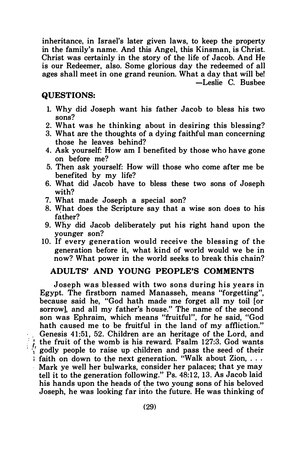inheritance, in Israel's later given laws, to keep the property in the family's name. And this Angel, this Kinsman, is Christ. Christ was certainly in the story of the life of Jacob. And He is our Redeemer, also. Some glorious day the redeemed of all ages shall meet in one grand reunion. What a day that will be! -Leslie C. Busbee

#### QUESTIONS:

- 1. Why did Joseph want his father Jacob to bless his two sons?
- 2. What was he thinking about in desiring this blessing?
- 3. What are the thoughts of a dying faithful man concerning those he leaves behind?
- 4. Ask yourself: How am I benefited by those who have gone on before me?
- 5. Then ask yourself: How will those who come after me be benefited by my life?
- 6. What did Jacob have to bless these two sons of Joseph with?
- 7. What made Joseph a special son?
- 8. What does the Scripture say that a wise son does to his father?
- 9. Why did Jacob deliberately put his right hand upon the younger son?
- 10. If every generation would receive the blessing of the generation before it, what kind of world would we be in now? What power in the world seeks to break this chain?

#### ADULTS' AND YOUNG PEOPLE'S COMMENTS

Joseph was blessed with two sons during his years in Egypt. The firstborn named Manasseh, means "forgetting", because said he, "God hath made me forget all my toil [or sorrow], and all my father's house." The name of the second son was Ephraim, which means "fruitful", for he said, "God hath caused me to be fruitful in the land of my affliction." Genesis 41:51, 52. Children are an heritage of the Lord, and <sup>2</sup>: the fruit of the womb is his reward. Psalm 127:3. God wants  $\frac{1}{2}$  godly people to raise up children and pass the seed of their  $\frac{1}{2}$  faith on down to the next generation. "Walk about Zion, ... Mark ye well her bulwarks, consider her palaces; that ye may tell it to the generation following." Ps. 48:12, 13. As Jacob laid his hands upon the heads of the two young sons of his beloved Joseph, he was looking far into the future. He was thinking of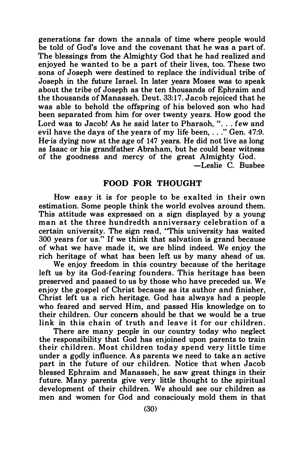generations far down the annals of time where people would be told of God's love and the covenant that he was a part of. The blessings from the Almighty God that he had realized and enjoyed he wanted to be a part of their lives, too. These two sons of Joseph were destined to replace the individual tribe of · Joseph in the future Israel. In later years Moses was to speak about the tribe of Joseph as the ten thousands of Ephraim and the thousands of Manasseh. Deut. 33:17. Jacob rejoiced that he was able to behold the offspring of his beloved son who had been separated from him for over twenty years. How good the Lord was to Jacob! As he said later to Pharaoh, ". . . few and evil have the days of the years of my life been, ... " Gen. 47:9. He is dying now at the age of 147 years. He did not live as long as Isaac or his grandfather Abraham, but he could bear witness of the goodness and mercy of the great Almighty God. -Leslie C. Busbee

## FOOD FOR THOUGHT

How easy it is for people to be exalted in their own estimation. Some people think the world evolves around them. This attitude was expressed on a sign displayed by a young man at the three hundredth anniversary celebration of a certain university. The sign read, "This university has waited 300 years for us." If we think that salvation is grand because of what we have made it, we are blind indeed. We enjoy the rich heritage of what has been left us by many ahead of us.

We enjoy freedom in this country because of the heritage left us by its God-fearing founders. This heritage has been preserved and passed to us by those who have preceded us. We enjoy the gospel of Christ because as its author and finisher, Christ left us a rich heritage. God has always had a people who feared and served Him, and passed His knowledge on to their children. Our concern should be that we would be a true link in this chain of truth and leave it for our children.

There are many people in our country today who neglect the responsibility that God has enjoined upon parents to train their children. Most children today spend very little time under a gpdly influence. As parents we need to take an active part in the future of our children. Notice that when Jacob blessed Ephraim and Manasseh, he saw great things in their future. Many parents give very little thought to the spiritual development of their children. We should see our children as men and women for God and consciously mold them in that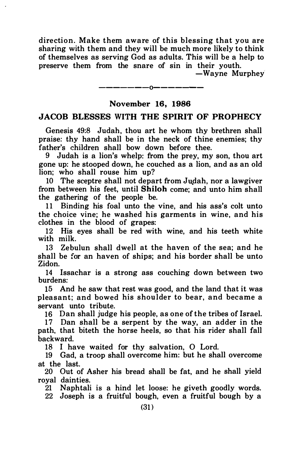direction. Make them aware of this blessing that you are sharing with them and they will be much more likely to think of themselves as serving God as adults. This will be a help to preserve them from the snare of sin in their youth.

-Wayne Murphey

## -------0------- November 16, 1986

#### JACOB BLESSES WITH THE SPIRIT OF PROPHECY

Genesis 49:8 Judah, thou art he whom thy brethren shall praise: thy hand shall be in the neck of thine enemies; thy father's children shall bow down before thee.

9 Judah is a lion's whelp: from the prey, my son, thou art gone up: he stooped down, he couched as a lion, and as an old lion; who shall rouse him up?

10 The sceptre shall not depart from Judah, nor a lawgiver from between his feet, until Shiloh come; and unto him shall the gathering of the people be.

11 Binding his foal unto the vine, and his ass's colt unto the choice vine; he washed his garments in wine, and his clothes in the blood of grapes:

12 His eyes shall be red with wine, and his teeth white with milk.

13 Zebulun shall dwell at the haven of the sea; and he shall be for an haven of ships; and his border shall be unto Zidon.

14 Issachar is a strong ass couching down between two burdens:

15 And he saw that rest was good, and the land that it was pleasant; and bowed his shoulder to bear, and became a servant unto tribute.

16 Dan shall judge his people, as one of the tribes of Israel.

17 Dan shall be a serpent by the way, an adder in the path, that biteth the horse heels, so that his rider shall fall backward.

18 I have waited for thy salvation, 0 Lord.

19 Gad, a troop shall overcome him: but he shall overcome at the last.

20 Out of Asher his bread shall be fat, and he shall yield royal dainties.

21 Naphtali is a hind let loose: he giveth goodly words.

22 Joseph is a fruitful bough, even a fruitful bough by a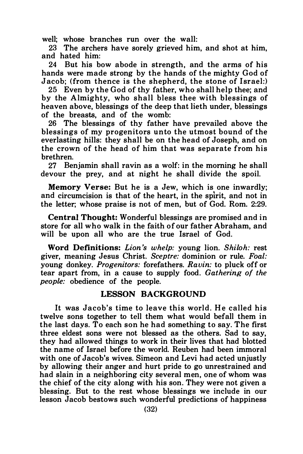well; whose branches run over the wall:

23 The archers have sorely grieved him, and shot at him, and hated him:

24 But his bow abode in strength, and the arms of his hands were made strong by the hands of the mighty God of Jacob; (from thence is the shepherd, the stone of Israel:)

25 Even by the God of thy father, who shall help thee; and by the Almighty, who shall bless thee with blessings of heaven above, blessings of the deep that lieth under, blessings of the breasts, and of the womb:

26 The blessings of thy father have prevailed above the blessings of my progenitors unto the utmost bound of the everlasting hills: they shall be on the head of Joseph, and on the crown of the head of him that was separate from his brethren.

27 Benjamin shall ravin as a wolf: in the morning he shall devour the prey, and at night he shall divide the spoil.

Memory Verse: But he is a Jew, which is one inwardly; and circumcision is that of the heart, in the spirit, and not in the letter; whose praise is not of men, but of God. Rom. 2:29.

Central Thought: Wonderful blessings are promised and in store for all who walk in the faith of our father Abraham, and will be upon all who are the true Israel of God.

Word Definitions: Lion 's whelp: young lion. Shiloh: rest giver, meaning Jesus Christ. Sceptre: dominion or rule. Foal: young donkey. Progenitors: forefathers. Ravin: to pluck off or tear apart from, in a cause to supply food. Gathering of the people: obedience of the people.

#### LESSON BACKGROUND

It was Jacob's time to leave this world. He called his twelve sons together to tell them what would befall them in the last days. To each son he had something to say. The first three eldest sons were not blessed as the others. Sad to say, they had allowed things to work in their lives that had blotted the name of Israel before the world. Reuben had been immoral with one of Jacob's wives. Simeon and Levi had acted unjustly by allowing their anger and hurt pride to go unrestrained and had slain in a neighboring city several men, one of whom was the chief of the city along with his son. They were not given a blessing. But to the rest whose blessings we include in our lesson Jacob bestows such wonderful predictions of happiness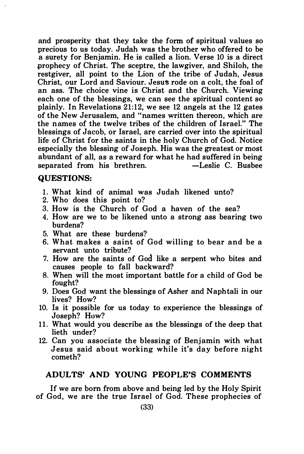and prosperity that they take the form of spiritual values so precious to us today. Judah was the brother who offered to be a surety for Benjamin. He is called a lion. Verse 10 is a direct .prophecy of Christ. The sceptre, the lawgiver, and Shiloh, the restgiver, all point to the Lion of the tribe of Judah, Jesus Christ, our Lord and Saviour. Jesus rode on a colt, the foal of an ass. The choice vine is Christ and the Church. Viewing each one of the blessings, we can see the spiritual content so plainly. In Revelations 21:12, we see 12 angels at the 12 gates of the New Jerusalem, and "names written thereon, which are the n ames of the twelve tribes of the children of Israel.'' The blessings of Jacob, or Israel, are carried over into the spiritual life of Christ for the saints in the holy Church of God. Notice especially the blessing of Joseph. His was the greatest or most abundant of all, as a reward for what he had suffered in being<br>separated from his brethren.  $\overline{C}$  alles C. Bushee separated from his brethren.

#### QUESTIONS:

- 1. What kind of animal was Judah likened unto?
- 2. Who· does this point to?
- 3. How is the Church of God a haven of the sea?
- 4. How are we to be likened unto a strong ass bearing two burdens?
- 5. What are these burdens?
- 6. What makes a saint of God willing to bear and be a servant unto tribute?
- 7. How are the saints of God like a serpent who bites and causes people to fall backward?
- 8. When will the most important battle for a child of God be fought?
- 9. Does God want the blessings of Asher and Naphtali in our lives? How?
- 10. Is it possible for us today to experience the blessings of Joseph? How?
- 11. What would you describe as the blessings of the deep that lieth under?
- 12. Can you associate the blessing of Benjamin with what Jesus said about working while it's day before night cometh?

#### ADULTS' AND YOUNG PEOPLE'S COMMENTS

If we are born from above and being led by the Holy Spirit of God, we are the true Israel of God. These prophecies of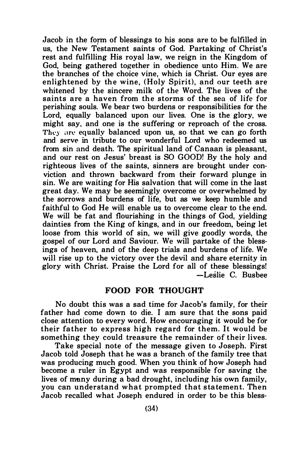Jacob in the form of blessings to his sons are to be fulfilled in us, the New Testament saints of God. Partaking of Christ's rest and fulfilling His royal law, we reign in the Kingdom of God, being gathered together in obedience unto Him. We are the branches of the choice vine, which is Christ. Our eyes are enlightened by the wine, (Holy Spirit), and our teeth are whitened by the sincere milk of the Word. The lives of the saints are a haven from the storms of the sea of life for perishing souls. We bear two burdens or responsibilities for the Lord, equally balanced upon our lives. One is the glory, we might say, and one is the suffering or reproach of the cross. They are equally balanced upon us, so that we can go forth and serve in tribute to our wonderful Lord who redeemed us from sin and death. The spiritual land of Canaan is pleasant, and our rest on Jesus' breast is SO GOOD! By the holy and righteous lives of the saints, sinners are brought under conviction and thrown backward from their forward plunge in sin. We are waiting for His salvation that will come in the last great day. We may be seemingly overcome or overwhelmed by the sorrows and burdens of life, but as we keep humble and faithful to God He will enable us to overcome clear to the end. We will be fat and flourishing in the things of God, yielding dainties from the King of kings, and in our freedom, being let loose from this world of sin, we will give goodly words, the gospel of our Lord and Saviour. We will partake of the blessings of heaven, and of the deep trials and burdens of life. We will rise up to the victory over the devil and share eternity in glory with Christ. Praise the Lord for all of these blessings! -Leslie C. Busbee

#### FOOD FOR THOUGHT

No doubt this was a sad time for Jacob's family, for their father had come down to die. I am sure that the sons paid close attention to every word. How encouraging it would be for their father to express high regard for them. It would be something they could treasure the remainder of their lives.

Take special note of the message given to Joseph. First Jacob told Joseph that he was a branch of the family tree that was producing much good. When you think of how Joseph had become a ruler in Egypt and was responsible for saving the lives of many during a bad drought, including his own family, you can understand what prompted that statement. Then Jacob recalled what Joseph endured in order to be this bless-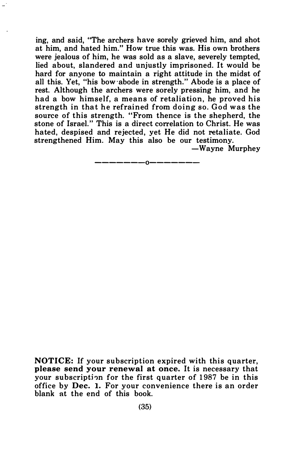ing, and said, "The archers have sorely grieved him, and shot at him, and hated him." How true this was. His own brothers were jealous of him, he was sold as a slave, severely tempted. lied about, slandered and unjustly imprisoned. It would be hard for anyone to maintain a right attitude in the midst of all this. Yet, "his bow ·abode in strength." Abode is a place of rest. Although the archers were sorely pressing him, and he had a bow himself, a means of retaliation, he proved his strength in that he refrained from doing so. God was the source of this strength. "From thence is the shepherd, the stone of Israel." This is a direct correlation to Christ. He was hated, despised and rejected, yet He did not retaliate. God strengthened Him. May this also be our testimony.

-Wayne Murphey

-------0-------

NOTICE: If your subscription expired with this quarter, please send your renewal at once. It is necessary that your subscription for the first quarter of 1987 be in this office by Dec. 1. For your convenience there is an order blank at the end of this book.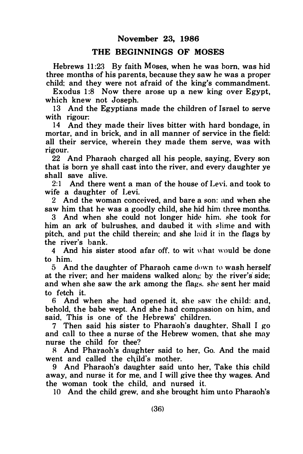#### THE BEGINNINGS OF MOSES

Hebrews 11:23 By faith Moses, when he was born, was hid three months of his parents, because they saw he was a proper child: and they were not afraid of the king's commandment.

Exodus 1:8 Now there arose up a new king over Egypt. which knew not Joseph.

13 And the Egyptians made the children of Israel to serve with rigour:

14 And they made their lives bitter with hard bondage, in mortar, and in brick, and in all manner of service in the field: all their service, wherein they made them serve, was with rigour.

22 And Pharaoh charged all his people, saying, Every son that is born ye shall cast into the river, and every daughter ye shall save alive.

2:1 And there went a man of the house of Levi. and took to wife a daughter of Levi.

2 And the woman conceived, and bare a son: nnd when she saw him that he was a goodly child, she hid him three months.

3 And when she could not longer hide him. she took for him an ark of bulrushes, and daubed it with slime and with pitch. and put the child therein: and she lnid it in the flags by the river's bank.

4 And his sister stood afar off. to wit \\'hat would be done to him.

5 And the daughter of Pharaoh came down to wash herself at the river; and her maidens walked along by the river's side; and when she saw the ark among the flags, she sent her maid to fetch it.

6 And when she had opened it. she �aw the child: and, behold, the babe wept. And she had compassion on him, and said, This is one of the Hebrews' children.

7 Then said his sister to Pharaoh's daughter, Shall I go and call to thee a nurse of the Hebrew women, that she may nurse the child for thee?

R And Pharaoh's daughter said to her, Go. And the maid went and called the child's mother.

9 And Pharaoh's daughter said unto her, Take this child away, and nurse it for me, and I will give thee thy wages. And the woman took the child, and nursed it.

10 And the child grew, and she brought him unto Pharaoh's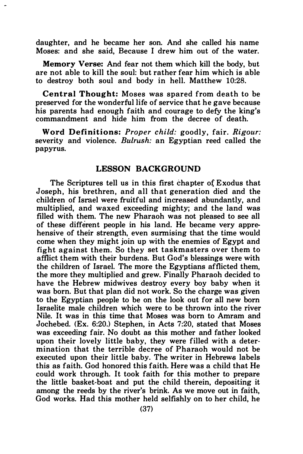daughter, and he became her son. And she called his name Moses: and she said, Because I drew him out of the water.

Memory Verse: And fear not them which kill the body, but are not able to kill the soul: but rather fear him which is able to destroy both soul and body in hell. Matthew 10:28.

Central Thought: Moses was spared from death to be preserved for the wonderful life of service that he gave because his parents had enough faith and courage to defy the king's commandment and hide him from the decree of death.

Word Definitions: Proper child: goodly, fair, Rigour: severity and violence. Bulrush: an Egyptian reed called the papyrus.

#### LESSON BACKGROUND

The Scriptures tell us in this first chapter o{ E xodus that Joseph, his brethren, and all that generation died and the children of Israel were fruitful and increased abundantly, and multiplied, and waxed exceeding mighty; and the land was filled with them. The new Pharaoh was not pleased to see all of these different people in his land. He became very apprehensive of their strength, even surmising that the time would come when they might join up with the enemies of Egypt and fight against them. So they set taskmasters over them to afflict them with their burdens. But God's blessings were with the children of Israel. The more the Egyptians afflicted them, the more they multiplied and grew. Finally Pharaoh decided to have the Hebrew midwives destroy every boy baby when it was born. But that plan did not work. So the charge was given to the Egyptian people to be on the look out for all new born Israelite male children which were to be thrown into the river Nile. It was in this time that Moses was born to Amram and Jochebed. (Ex. 6:20.) Stephen, in Acts 7:20, stated that Moses was exceeding fair. No doubt as this mother and father looked upon their lovely little baby, they were filled with a determination that the terrible decree of Pharaoh would not be executed upon their little baby. The writer in Hebrews labels this as faith. God honored this faith. Here was a child that He could work through. It took faith for this mother to prepare the little basket-boat and put the child therein, depositing it among the reeds by the river's brink. As we move out in faith, God works. Had this mother held selfishly on to her child, he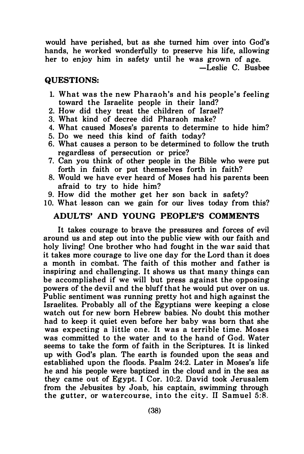would have perished, but as she turned him over into God's hands, he worked wonderfully to preserve his life, allowing her to enjoy him in safety until he was grown of age.

-Leslie C. Busbee

#### QUESTIONS:

- 1. What was the new Pharaoh's and his people's feeling toward the Israelite people in their land?
- 2. How did they treat the children of Israel?
- 3. What kind of decree did Pharaoh make?
- 4. What caused Moses's parents to determine to hide him?
- 5. Do we need this kind of faith today?
- 6. What causes a person to be determined to follow the truth regardless of persecution or price?
- 7. Can you think of other people in the Bible who were put forth in faith or put themselves forth in faith?
- 8. Would we have ever heard of Moses had his parents been afraid to try to hide him?
- 9. How did the mother get her son back in safety?
- 10. What lesson can we gain for our lives today from this?

#### ADULTS' AND YOUNG PEOPLE'S COMMENTS

It takes courage to brave the pressures and forces of evil around us and step out into the public view with our faith and holy living! One brother who had fought in the war said that it takes more courage to live one day for the Lord than it does a month in combat. The faith of this mother and father is inspiring and challenging. It shows us that many things can be accomplished if we will but press against the opposing powers of the devil and the bluff that he would put over on us. Public sentiment was running pretty hot and high against the Israelites. Probably all of the Egyptians were keeping a close watch out for new hom Hebrew babies. No doubt this mother had to keep it quiet even before her baby was born that she was expecting a little one. It was a terrible time. Moses was committed to the water and to the hand of God. Water seems to take the form of faith in the Scriptures. It is linked up with God's plan. The earth is founded upon the seas and established upon the floods. Psalm 24:2. Later in Moses's life he and his people were baptized in the cloud and in the sea as they came out of Egypt. I Cor. 10:2. David took Jerusalem from the Jebusites by Joab, his captain, swimming through the gutter, or watercourse, into the city. II Samuel 5:8.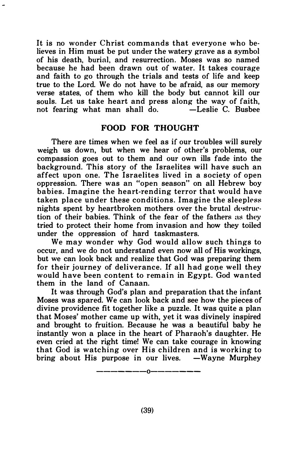It is no wonder Christ commands that everyone who believes in Him must be put under the watery grave as a symbol of his death, burial, and resurrection. Moses was so named because he had been drawn out of water. It takes courage and faith to go through the trials and tests of life and keep true to the Lord. We do not have to be afraid, as our memory verse states, of them who kill the body but cannot kill our souls. Let us take heart and press along the way of faith, not fearing what man shall do.  $\qquad$  -Leslie C. Bushee not fearing what man shall do.

#### FOOD FOR THOUGHT

There are times when we feel as if our troubles will surely weigh us down, but when we hear of other's problems, our compassion goes out to them and our own ills fade into the background. This story of the Israelites will have such an affect upon one. The Israelites lived in a society of open oppression. There was an "open season" on all Hebrew boy babies. Imagine the heart-rending terror that would have taken place under these con ditions. Imagine the sleepless nights spent by heartbroken mothers over the brutal destruction of their babies. Think of the fear of the fathers as they tried to protect their home from invasion and how they toiled under the oppression of hard taskmasters.

We may wonder why God would allow such things to occur, and we do not understand even now all of His workings, but we can look back and realize that God was preparing them for their journey of deliverance. If all had gone well they would have been content to remain in Egypt. God wanted them in the land of Canaan.

It was through God's plan and preparation that the infant Moses was spared. We can look back and see how the pieces of divine providence fit together like a puzzle. It was quite a plan that Moses' mother came up with, yet it was divinely inspired and brought to fruition. Because he was a beautiful baby he instantly won a place in the heart of Pharaoh's daughter. He even cried at the right time! We can take courage in knowing that God is watching over His children and is working to bring about His purpose in our lives.  $-Wayne Murphey$ 

-------0-------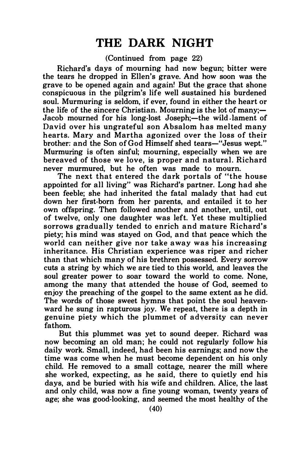## THE DARK NIGHT

(Continued from page 22)

Richard's days of moumipg had now begun; bitter were the tears he dropped in Ellen's grave. And how soon was the grave to be opened again and again! But the grace that shone conspicuous in the pilgrim's life well sustained his burdened soul. Murmuring is seldom, if ever, found in either the heart or the life of the sincere Christian. Mourning is the lot of many; Jacob mourned for his long-lost Joseph:—the wild lament of David over his ungrateful son Absalom has melted many hearts. Mary and Martha agonized over the loss of their brother: and the Son of God Himself shed tears-"Jesus wept." Murmuring is often sinful; mourning, especially when we are bereaved of those we love, is proper and n atural. Richard never murmured, but he often was made to mourn.

The next that entered the dark portals of "the house appointed for all living" was Richard's partner. Long had she been feeble; she had inherited the fatal malady that had cut down her first-born from her parents, and entailed it to her own offspring. Then followed another and another, until, out of twelve, only one daughter was left. Yet these multiplied sorrows gradually tended to enrich and mature Richard's piety; his mind was stayed on God, and that peace which the world can neither give nor take away was his increasing inheritance. His Christian experience was riper and richer than that which many of his brethren possessed. Every sorrow cuts a string by which we are tied to this world, and leaves the soul greater power to soar toward the world to come. None, among the many that attended the house of God, seemed to enjoy the preaching of the gospel to the same extent as he did. The words of those sweet hymns that point the soul heavenward he sung in rapturous joy. We repeat, there is a depth in genuine piety which the plummet of adversity can never fathom.

But this plummet was yet to sound deeper. Richard was now becoming an old man; he could not regularly follow his daily work. Small, indeed, had been his earnings; and now the time was come when he must become dependent on his only child. He removed to a small cottage, nearer the mill where she worked, expecting, as he said, there to quietly end his days, and be buried with his wife and children. Alice, the last and only child, was now a fine young woman, twenty years of age; she was good-looking, and seemed the most healthy of the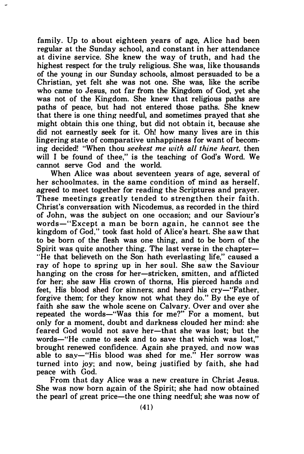family. Up to about eighteen years of age, Alice had been regular at the Sunday school, and constant in her attendance at divine service. She knew the way of truth, and had the highest respect for the truly religious. She was, like thousands of the young in our Sunday schools, almost persuaded to be a Christian, yet felt she was not one. She was, like the scribe who came to Jesus, not far from the Kingdom of God, yet she was not of the Kingdom. She knew that religious paths are paths of peace, but had not entered those paths. She knew that there is one thing needful, and sometimes prayed that she might obtain this one thing, but did not obtain it, because she did not earnestly seek for it. Oh! how many lives are in this lingering state of comparative unhappiness for want of becoming decided! "When thou seekest me with all thine heart, then will I be found of thee," is the teaching of God's Word. We cannot serve God and the world.

When Alice was about seventeen years of age, several of her schoolmates, in the same condition of mind as herself. agreed to meet together for reading the Scriptures and prayer. These meetings greatly tended to strengthen their faith. Christ's conversation with Nicodemus, as recorded in the third of John, was the subject on one occasion; and our Saviour's words-"Except a man be born again, he cannot see the kingdom of God," took fast hold of Alice's heart. She saw that to be born of the flesh was one thing, and to be born of the Spirit was quite another thing. The last verse in the chapter-"He that believeth on the Son hath everlasting life," caused a ray of hope to spring up in her soul. She saw the Saviour hanging on the cross for her-stricken, smitten, and afflicted for her; she saw His crown of thorns. His pierced hands and feet. His blood shed for sinners; and heard his cry-"Father, forgive them; for they know not what they do." By the eye of faith she saw the whole scene on Calvary. Over and over she repeated the words-"Was this for me?" For a moment, but only for a moment, doubt and darkness clouded her mind: she feared God would not save her-that she was lost; but the words-"He came to seek and to save that which was lost." brought renewed confidence. Again she prayed, and now was able to say-"His blood was shed for me." Her sorrow was turned into joy; and now, being justified by faith, she had peace with God.

From that day Alice was a new creature in Christ Jesus. She was now horn again of the Spirit; she had now obtained the pearl of great price-the one thing needful; she was now of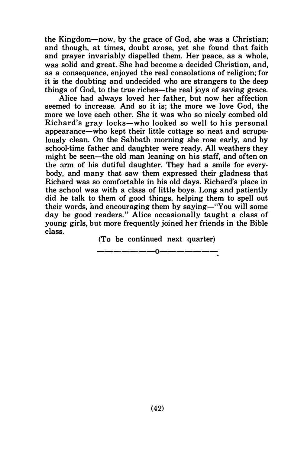the Kingdom-now, by the grace of God, she was a Christian; and though, at times, doubt arose, yet she found that faith and prayer invariably dispelled them. Her peace, as a whole, was solid and great. She had become a decided Christian, and, as a consequence, enjoyed the real consolations of religion; for it is the doubting and undecided who are strangers to the deep things of God, to the true riches—the real joys of saving grace.

Alice had always loved her father, but now her affection seemed to increase. And so it is; the more we love God, the more we love each other. She it was who so nicely combed old Richard's gray locks-who looked so well to his personal appearance-who kept their little cottage so neat and scrupulously clean. On the Sabbath morning she rose early, and by school-time father and daughter were ready. All weathers they might be seen-the old man leaning on his staff, and often on the arm of his dutiful daughter. They had a smile for everybody, and many that saw them expressed their gladness that Richard was so comfortable in his old days. Richard's place in the school was with a class of little boys. Long and patiently did he talk to them of good things, helping them to spell out their words, and encouraging them by saving-"You will some day be good readers." Alice occasionally taught a class of young girls. but more frequently joined her friends in the Bible class.

(To be continued next quarter) ————————0————————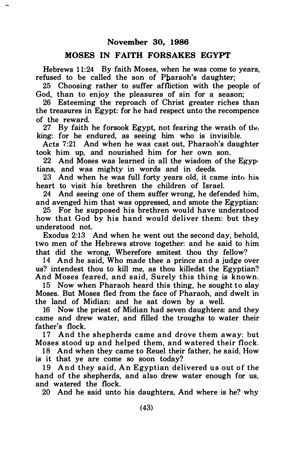#### MOSES IN FAITH FORSAKES EGYPT

Hebrews 11:24 By faith Moses, when he was come to years, refused to be called the son of Pharaoh's daughter:

25 Choosing rather to suffer affliction with the people of God, than to enjoy the pleasures of sin for a season;

26 Esteeming the reproach of Christ greater riches than the treasures in Egypt: for he had respect unto the recompence of the reward.

27 By faith he forsook Egypt, not fearing the wrath of the king: for he endured, as seeing him who is invisible.

Acts 7:21 And when he was cast out, Pharaoh's daughter took him up, and nourished him for her own son.

22 And Moses was learned in all the wisdom of the Egyptians, and was mighty in words and in deeds.

23 And when he was full forty years old, it came into his heart to visit his brethren the children of Israel.

24 And seeing one of them suffer wrong, he defended him, and avenged him that was oppressed, and smote the Egyptian:

25 For he supposed his brethren would have understood how that God by his hand would deliver them: but they understood not.

Exodus 2:13 And when he went out the second day, behold, two men of the Hebrews strove together: and he said to him that did the wrong, Wherefore smitest thou thy fellow?

14 And he said, Who made thee a prince and a judge over us? intendest thou to kill me, as thou killedst the Egyptian? And Moses feared, and said, Surely this thing is known.

15 Now when Pharaoh heard this thing, he sought to slay Moses. But Moses fled from the face of Pharaoh, and dwelt in the land of Midian: and he sat down by a well.

16 Now the priest of Midian had seven daughters: and they came and drew water, and filled the troughs to water their father's flock.

17 And the shepherds came and drove them away: but Moses stood up and helped them, and watered their flock.

18 And when they came to Reuel their father, he said, How is it that ye are come so soon today?

19 And they said, An Egyptian delivered us out of the hand of the shepherds, and also drew water enough for us, and watered the flock.

20 And he said unto his daughters, And where is he? why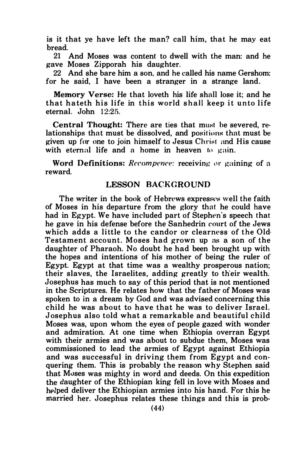is it that ye have left the man? call him, that he may eat bread.

21 And Moses was content to dwell with the man: and he gave Moses Zipporah his daughter.

22 And she bare him a son, and he called his name Gershom: for he said. I have been a stranger in a strange land.

Memory Verse: He that loveth his life shall lose it; and he that hateth his life in this world shall keep it unto life eternal. John 12:25.

Central Thought: There are ties that mu�t he severed, relationships that must be dissolved, and positions that must be given up for one to join himself to Jesus Chri�t and His cause with eternal life and a home in heaven  $\omega$  gain.

Word Definitions: *Recompence:* receiving or gaining of a reward.

#### LESSON BACKGROUND

The writer in the book of Hebrews expresses well the faith of Moses in his departure from the glory that he could have had in Egypt. We have included part of Stephen's speech that he gave in his defense before the Sanhedrin court of the Jews which adds a little to the candor or clearness of the Old-Testament account. Moses had grown up as a son of the daughter of Pharaoh. No doubt he had been brought up with the hopes and intentions of his mother of being the ruler of Egypt. Egypt at that time was a wealthy prosperous nation; their slaves, the Israelites, adding greatly to their wealth. Josephus has much to say of this period that is not mentioned in the Scriptures. He relates how that the father of Moses was spoken to in a dream by God and was advised concerning this child he was about to have that he was to deliver Israel. Josephus also told what a remarkable and beautiful child Moses was, upon whom the eyes of people gazed with wonder and admiration. At one time when Ethiopia overran Egypt with their armies and was about to subdue them, Moses was commissioned to lead the armies of Egypt against Ethiopia and was successful in driving them from Egypt and conquering them. This is probably the reason why Stephen said that Moses was mighty in word and deeds. On this expedition the daughter of the Ethiopian king fell in love with Moses and helped deliver the Ethiopian armies into his hand. For this he married her. Josephus relates these things and this is prob-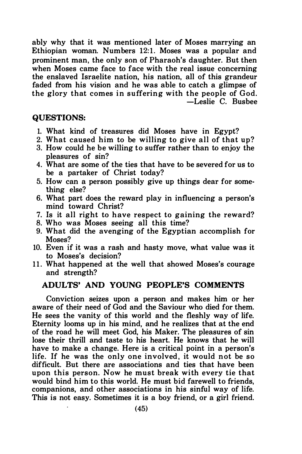ably why that it was mentioned later of Moses marrying an Ethiopian woman. Numbers 12:1. Moses was a popular and prominent man, the only son of Pharaoh's daughter. But then when Moses came face to face with the real issue concerning the enslaved Israelite nation, his nation, all of this grandeur faded from his vision and he was able to catch a glimpse of the glory that comes in suffering with the people of God. -Leslie C. Busbee

#### QUESTIONS:

- 1. What kind of treasures did Moses have in Egypt?
- 2. What caused him to be willing to give all of that up?
- 3. How could he be willing to suffer rather than to enjoy the pleasures of sin?
- 4. What are some of the ties that have to be severed for us to be a partaker of Christ today?
- 5. How can a person possibly give up things dear for something else?
- 6. What part does the reward play in influencing a person's mind toward Christ?
- 7. Is it all right to have respect to gaining the reward?
- 8. Who was Moses seeing all this time?
- 9. What did the avenging of the Egyptian accomplish for Moses?
- 10. Even if it was a rash and hasty move, what value was it to Moses's decision?
- 11. What happened at the well that showed Moses's courage and strength?

#### ADULTS' AND YOUNG PEOPLE'S COMMENTS

Conviction seizes upon a person and makes him or her aware of their need of God and the Saviour who died for them. He sees the vanity of this world and the fleshly way of life. Eternity looms up in his mind, and he realizes that at the end of the road he will meet God, his Maker. The pleasures of sin lose their thrill and taste to his heart. He knows that he will have to make a change. Here is a critical point in a person's life. If he was the only one involved, it would not be so difficult. But there are associations and ties that have been upon this person. Now he must break with every tie that would bind him to this world. He must bid farewell to friends, companions, and other associations in his sinful way of life. This is not easy. Sometimes it is a boy friend, or a girl friend.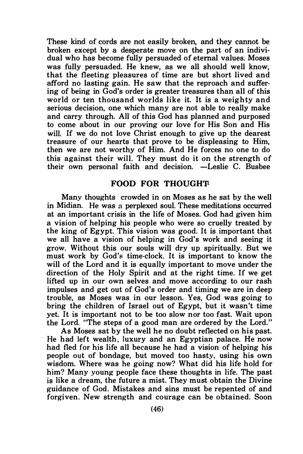These kind of cords are not easily broken, and they cannot be broken except by a desperate move on the part of an individual who has become fully persuaded of eternal values. Moses was fully persuaded. He knew, as we all should well know, that the fleeting pleasures of time are but short lived and afford no lasting gain. He saw that the reproach and suffering of being in God's order is greater treasures than all of this world or ten thousand worlds like it. It is a weighty and serious decision, one which many are not able to really make and carry through. All of this God has planned and purposed to come about in our proving our love for His Son and His will. If we do not love Christ enough to give up the dearest treasure of our hearts that prove to be displeasing to Him, then we are not worthy of Him. And He forces no one to do this against their will. They must do it on the strength of their own personal faith and decision. -Leslie C. Busbee

#### FOOD FOR THOUGHT-

Many thoughts crowded in on Moses as he sat by the well in Midian. He was a perplexed soul. These meditations occurred at an important crisis in the life of Moses. God had given him a vision of helping his people who were so cruelly treated by the king of Egypt. This vision was good. It is important that we all have a vision of helping in God's work and seeing it grow. Without this our souls will dry up spiritually. But we must work by God's time-clock. It is important to know the will of the Lord and it is equally important to move under the direction of the Holy Spirit and at the right time. If we get lifted up in our own selves and move according to our rash impulses and get out of God's order and timing we are in deep trouble, as Moses was in our lesson. Yes, God was going to bring the children of Israel out of Egypt, but it wasn't time yet. It is important not to be too slow nor too fast. Wait upon the Lord. "The steps of a good man are ordered by the Lord."

As Moses sat by the well he no doubt reflected on his past. He had left wealth, luxury and an Egyptian palace. He now had fled for his life all because he had a vision of helping his people out of bondage, but moved too hasty, using his own wisdom. Where was he going now? What did his life hold for him? Many young people face these thoughts in life. The past is like a dream, the future a mist. They must obtain the Divine guidance of God. Mistakes and sins must be repented of and forgiven. New strength and courage can be obtained. Soon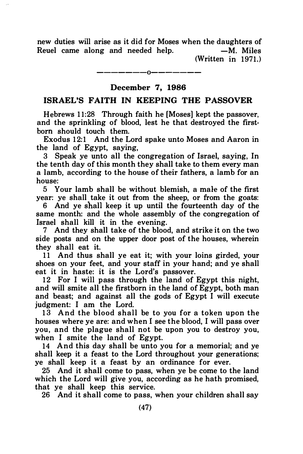new duties will arise as it did for Moses when the daughters of Reuel came along and needed help.  $-M$ . Miles  $(Written in 1971.)$ 

#### December 7, 1986

#### ISRAEL'S FAITH IN KEEPING THE PASSOVER

Hebrews 11:28 Through faith he [Moses] kept the passover, and the sprinkling of blood, lest he that destroyed the firsthom should touch them.

Exodus 12:1 And the Lord spake unto Moses and Aaron in the land of Egypt, saying,

3 Speak ye unto all the congregation of Israel, saying, In the tenth day of this month they shall take to them every man a lamb, according to the house of their fathers, a lamb for an house:

5 Your lamb shall be without blemish, a male of the first year: ye shall take it out from the sheep, or from the goats:

6 And ye shall keep it up until the fourteenth day of the same month: and the whole assembly of the congregation of Israel shall kill it in the evening.

7 And they shall take of the blood, and strike it on the two side posts and on the upper door post of the houses, wherein they shall eat it.

11 And thus shall ye eat it; with your loins girded, your shoes on your feet, and your staff in your hand; and ye shall eat it in haste: it is the Lord's passover.

12 For I will pass through the land of Egypt this night, and will smite all the firstborn in the land of Egypt, both man and beast; and against all the gods of Egypt I will execute judgment: I am the Lord.

13 And the blood shall be to you for a token upon the houses where ye are: and when I see the blood, I will pass over you, and the plague shall not be upon you to destroy you, when I smite the land of Egypt.

14 And this day shall be unto you for a memorial; and ye shall keep it a feast to the Lord throughout your generations; ye shall keep it a feast by an ordinance for ever.

25 And it shall come to pass, when ye be come to the land which the Lord will give you, according as he hath promised, that ye shall keep this service.

26 And it shall come to pass, when your children shall say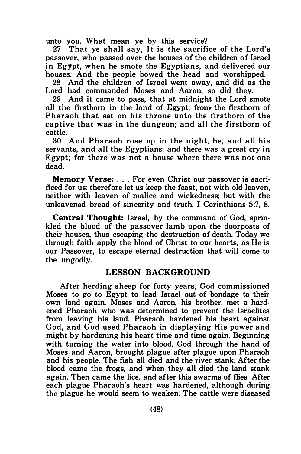unto you, What mean ye by this service?

27 That ye shall say. It is the sacrifice of the Lord's passover, who passed over the houses of the children of Israel in Egypt, when he smote the Egyptians, and delivered our houses. And the people bowed the head and worshipped.

28 And the children of Israel went away, and did as the Lord had commanded Moses and Aaron, so did they.

29 And it came to pass, that at midnight the Lord smote all the firstborn in the land of Egypt, from the firstborn of Pharaoh that sat on his throne unto the firstborn of the captive that was in the dungeon; and all the firstborn of cattle.

30 And Pharaoh rose up in the night, he, and all his servants, and all the Egyptians; and there was a great cry in Egypt: for there was not a house where there was not one dead.

Memory Verse: . . . For even Christ our passover is sacrificed for us: therefore let us keep the feast, not with old leaven, neither with leaven of malice and wickedness; but with the unleavened bread of sincerity and truth. I Corinthians 5:7, 8.

Central Thought: Israel, by the command of God, sprinkled the blood of the passover lamb upon the doorposts of their houses, thus escaping the destruction of death. Today we through faith apply the blood of Christ to our hearts, as He is our Passover, to escape eternal destruction that will come to the ungodly.

#### LESSON BACKGROUND

After herding sheep for forty years, God commissioned Moses to go to Egypt to lead Israel out of bondage to their own land again. Moses and Aaron, his brother, met a hardened Pharaoh who was determined to prevent the Israelites from leaving his land. Pharaoh hardened his heart against God, and God used Pharaoh in displaying His power and might by hardening his heart time and time again. Beginning with turning the water into blood. God through the hand of Moses and Aaron, brought plague after plague upon Pharaoh and his people. The fish all died and the river stank. After the blood came the frogs, and when they all died the land stank again. Then came the lice, and after this swarms of flies. After each plague Pharaoh's heart was hardened, although during the plague he would seem to weaken. The cattle were diseased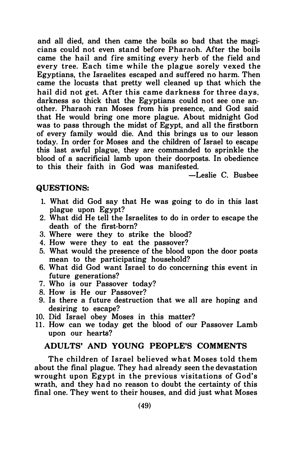and all died, and then came the boils so bad that the magicians could not even stand before Pharaoh. After the boils came the hail and fire smiting every herb of the field and every tree. Each time while the plague sorely vexed the Egyptians, the Israelites escaped and suffered no harm. Then came the locusts that pretty well cleaned up that which the hail did not get. After this came darkness for three days, darkness so thick that the Egyptians could not see one another. Pharaoh ran Moses from his presence, and God said that He would bring one more plague. About midnight God was to pass through the midst of Egypt, and all the firstborn of every family would die. And this brings us to our lesson today. In order for Moses and the children of Israel to escape this last awful plague, they are commanded to sprinkle the blood of a sacrificial lamb upon their doorposts. In obedience to this their faith in God was manifested.

-Leslie C. Busbee

#### QUESTIONS:

- 1. What did God say that He was going to do in this last plague upon Egypt?
- 2. What did He tell the Israelites to do in order to escape the death of the first-born?
- 3. Where were they to strike the blood?
- 4. How were they to eat the passover?
- 5. What would the presence of the blood upon the door posts mean to the participating household?
- 6. What did God want Israel to do concerning this event in future generations?
- 7. Who is our Passover today?
- 8. How is He our Passover?
- 9. Is there a future destruction that we all are hoping and desiring to escape?
- 10. Did Israel obey Moses in this matter?
- 11. How can we today get the blood of our Passover Lamb upon our hearts?

#### ADULTS' AND YOUNG PEOPLE'S COMMENTS

The children of Israel believed what Moses told them about the final plague. They had already seen the devastation wrought upon Egypt in the previous visitations of God's wrath, and they had no reason to doubt the certainty of this final one. They went to their houses, and did just what Moses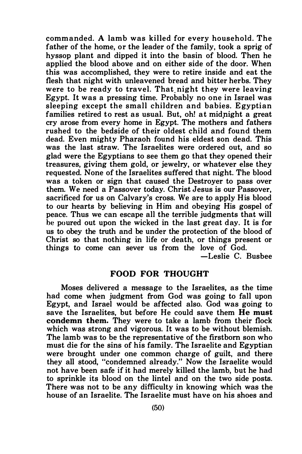commanded. A lamb was killed for every household. The father of the home, or the leader of the family, took a sprig of hyssop plant and dipped it into the basin of blood. Then he applied the blood above and on either side of the door. When this was accomplished, they were to retire inside and eat the flesh that night with unleavened bread and bitter herbs. They were to be ready to travel. That night they were leaving Egypt. It was a pressing time. Probably no one in Israel was sleeping except the small children and babies. Egyptian families retired to rest as usual. But, oh! at midnight a great cry arose from every home in Egypt. The mothers and fathers rushed to the bedside of their oldest child and found them dead. Even mighty Pharaoh found his eldest son dead. This was the last straw. The Israelites were ordered out, and so glad were the Egyptians to see them go that they opened their treasures, giving them gold, or jewelry, or whatever else they requested. None of the Israelites suffered that night. The blood was a token or sign that caused the Destroyer to pass over them. We need a Passover today. Christ Jesus is our Passover, sacrificed for us on Calvary's cross. We are to apply His blood to our hearts by believing in Him and obeying His gospel of peace. Thus we can escape all the terrible judgments that will be poured out upon the wicked in the last great day. It is for us to obey the truth and be under the protection of the blood of Christ so that nothing in life or death, or things present or things to come can sever us from the love of God.

-Leslie C. Busbee

#### FOOD FOR THOUGHT

Moses delivered a message to the Israelites, as the time had come when judgment from God was going to fall upon Egypt, and Israel would be affected also. God was going to save the Israelites, but before He could save them He must condemn them. They were to take a lamb from their flock which was strong and vigorous. It was to be without blemish. The lamb was to be the representative of the firstborn son who must die for the sins of his family. The Israelite and Egyptian were brought under one common charge of guilt, and there they all stood, "condemned already." Now the Israelite would not have been safe if it had merely killed the lamb, but he had to sprinkle its blood on the lintel and on the two side posts. There was not to be any difficulty in knowing which was the house of an Israelite. The Israelite must have on his shoes and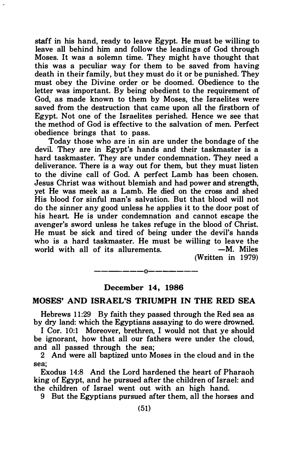staff in his hand, ready to leave Egypt. He must be willing to leave all behind him and follow the leadings of God through Moses. It was a solemn time. They might have thought that this was a peculiar way for them to be saved from having death in their family, but they must do it or be punished. They must obey the Divine order or be doomed. Obedience to the letter was important. By being obedient to the requirement of God, as made known to them by Moses, the Israelites were saved from the destruction that came upon all the firstborn of Egypt. Not one of the Israelites perished. Hence we see that the method of God is effective to the salvation of men. Perfect obedience brings that to pass.

Today those who are in sin are under the bondage of the devil. They are in Egypt's hands and their taskmaster is a hard taskmaster. They are under condemnation. They need a deliverance. There is a way out for them, but they must listen to the divine call of God. A perfect Lamb has been chosen. Jesus Christ was without blemish and had power and strength, yet He was meek as a Lamb. He died on the cross and shed His blood for sinful man's salvation. But that blood will not do the sinner any good unless he applies it to the door post of his heart. He is under condemnation and cannot escape the avenger's sword unless he takes refuge in the blood of Christ. He must be sick and tired of being under the devil's hands who is a hard taskmaster. He must be willing to leave the world with all of its allurements.  $-M$ . Miles world with all of its allurements.

 $(Written in 1979)$ 

#### December 14, 1986

-------0-------

#### MOSES' AND ISRAEL'S TRIUMPH IN THE RED SEA

Hebrews 11:29 By faith they passed through the Red sea as by dry land: which the Egyptians assaying to do were drowned.

I Cor. 10:1 Moreover, brethren, I would not that ye should be ignorant, how that all our fathers were under the cloud, and all passed through the sea;

2 And were all baptized unto Moses in the cloud and in the sea;

Exodus 14:8 And the Lord hardened the heart of Pharaoh king of Egypt, and he pursued after the children of Israel: and the children of Israel went out with an high hand.

9 But the Egyptians pursued after them, all the horses and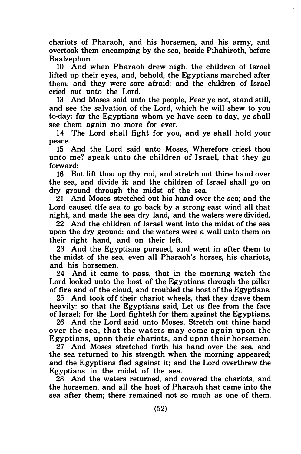chariots of Pharaoh, and his horsemen, and his army, and overtook them encamping by the sea, beside Pihahiroth, before Baalzephon.

10 And when Pharaoh drew nigh, the children of Israel lifted up their eyes, and, behold, the Egyptians marched after them; and they were sore afraid: and the children of Israel cried out unto the Lord.

13 And Moses said unto the people, Fear ye not, stand still, and see the salvation of the Lord, which he will shew to you to-day: for the Egyptians whom ye have seen to-day, ye shall see them again no more for ever.

14 The Lord shall fight for you, and ye shall hold your peace.

15 And the Lord said unto Moses, Wherefore criest thou unto me? speak unto the children of Israel, that they go forward:

16 But lift thou up thy rod, and stretch out thine hand over the sea, and divide it: and the children of Israel shall go on dry ground through the midst of the sea.

21 And Moses stretched out his hand over the sea; and the Lord caused tlie sea to go back by a strong east wind all that night, and made the sea dry land, and the waters were divided.

22 And the children of Israel went into the midst of the sea upon the dry ground: and the waters were a wall unto them on their right hand, and on their left.

23 And the Egyptians pursued, and went in after them to the midst of the sea, even all Pharaoh's horses, his chariots, and his horsemen.

24 And it came to pass, that in the morning watch the Lord looked unto the host of the Egyptians through the pillar of fire and of the cloud, and troubled the host of the Egyptians,

25 And took off their chariot wheels, that they drave them heavily: so that the Egyptians said, Let us flee from the face of Israel; for the Lord fighteth for them against the Egyptians.

26 And the Lord said unto Moses, Stretch out thine hand over the sea, that the waters may come again upon the E gyptians, upon their chariots, and upon their horsemen.

27 And Moses stretched forth his hand over the sea, and the sea returned to his strength when the morning appeared; and the Egyptians fled against it; and the Lord overthrew the Egyptians in the midst of the sea.

28 And the waters returned, and covered the chariots, and the horsemen, and all the host of Pharaoh that came into the sea after them; there remained not so much as one of them.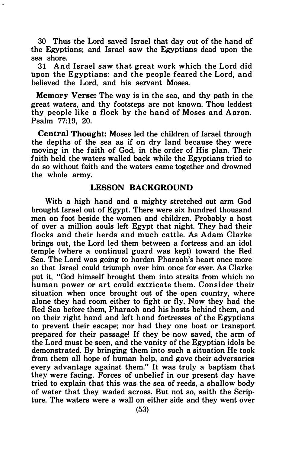30 Thus the Lord saved Israel that day out of the hand of the Egyptians; and Israel saw the Egyptians dead upon the sea shore.

31 And Israel saw that great work which the Lord did upon the Egyptians: and the people feared the Lord, and believed the Lord, and his servant Moses.

Memory Verse: The way is in the sea, and thy path in the great waters, and thy footsteps are not known. Thou leddest thy people like a flock by the hand of Moses and A aron. Psalm 77:19, 20.

Central Thought: Moses led the children of Israel through the depths of the sea as if on dry land because they were moving in the faith of God, in the order of His plan. Their faith held the waters walled back while the Egyptians tried to do so without faith and the waters came together and drowned the whole army.

#### LESSON BACKGROUND

With a high hand and a mighty stretched out arm God brought Israel out of Egypt. There were six hundred thousand men on foot beside the women and children. Probably a host of over a million souls left Egypt that night. They had their flocks and their herds and much cattle. As Adam Clarke brings out, the Lord led them between a fortress and an idol temple (where a continual guard was kept) toward the Red Sea. The Lord was going to harden Pharaoh's heart once more so that Israel could triumph over him once for ever. As Clarke put it, "God himself brought them into straits from which no human power or art could extricate them. Consider their situation when once brought out of the open country, where alone they had room either to fight or fly. Now they had the Red Sea before them, Pharaoh and his hosts behind them, and on their right hand and left hand fortresses of the E gyptians to prevent their escape; nor had they one boat or transport prepared for their passage! If they be now saved, the arm of the Lord must be seen, and the vanity of the Egyptian idols be demonstrated. By bringing them into such a situation He took from them all hope of human help, and gave their adversaries every advantage against them." It was truly a baptism that they were facing. Forces of unbelief in our present day have tried to explain that this was the sea of reeds, a shallow body of water that they waded across. But not so, saith the Scripture. The waters were a wall on either side and they went over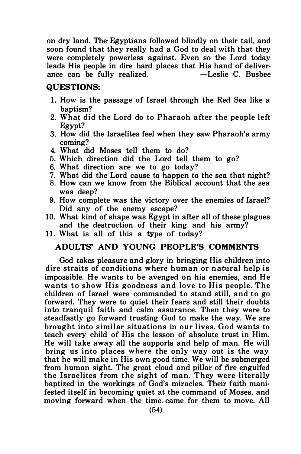on dry land. The· Egyptians followed blindly on their tail, and soon found that they really had a God to deal with that they were completely powerless against. Even so the Lord today leads His people in dire hard places that His hand of deliver-<br>ance can be fully realized.  $\qquad -$ Leslie C. Busbee ance can be fully realized.

#### QUESTIONS:

- 1. How is the passage of Israel through the Red Sea like a hantism?
- 2. What did the Lord do to Pharaoh a fter the people left Egypt?
- 3. How did the Israelites feel when they saw Pharaoh's army coming?
- 4. What did Moses tell them to do?
- 5. Which direction did the Lord tell them to go?
- 6. What direction are we to go today?
- 7. What did the Lord cause to happen to the sea that night?
- 8. How can we know from the Biblical account that the sea was deep?
- 9. How complete was the victory over the enemies of Israel? Did any of the enemy escape?
- 10. What kind of shape was Egypt in after all of these plagues and the destruction of their king and his army?
- 11. What is all of this a type of today?

#### ADULTS' AND YOUNG PEOPLE'S COMMENTS

God takes pleasure and glory in bringing His children into dire straits of conditions where human or natural help is impossible. He wants to be avenged on his enemies, and He wants to show His goodness and love to His people. The children of Israel were commanded to stand still, and to go forward. They were to quiet their fears and still their doubts into tranquil faith and calm assurance. Then they were to steadfastly go forward trusting God to make the way. We are brought into similar situations in our lives. God wants to teach every child of His the lesson of absolute trust in Him. He will take away all the supports and help of man. He will bring us into places where the only way out is the way that he will make in His own good time. We will be submerged from human sight. The great cloud and pillar of fire engulfed the Israelites from the sight of man. They were literally baptized in the workings of God's miracles. Their faith manifested itself in becoming quiet at the command of Moses, and moving forward when the time. came for them to move. All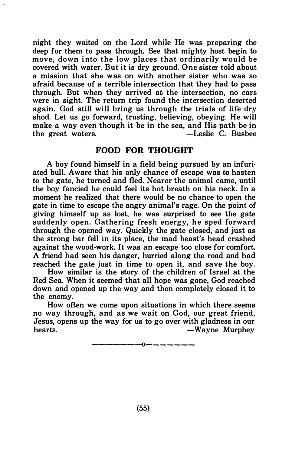night they waited on the Lord while He was preparing the deep for them to pass through. See that mighty host begin to move, down into the low places that ordinarily would be covered with water. But it is dry ground. One sister told about a mission that she was on with another sister who was so afraid because of a terrible intersection that they had to pass through. But when they arrived at the intersection, no cars were in sight. The return trip found the intersection deserted again. God still will bring us through the trials of life dry shod. Let us go forward, trusting, believing, obeying. He will make a way even though it be in the sea, and His path be in -Leslie C. Busbee

#### FOOD FOR THOUGHT

A boy found himself in a field being pursued by an infuriated bull. Aware that his only chance of escape was to hasten to the gate, he turned and fled. Nearer the animal came, until the boy fancied he could feel its hot breath on his neck. In a moment he realized that there would be no chance to open the gate in time to escape the angry animal's rage. On the point of giving himself up as lost, he was surprised to see the gate suddenly open. Gathering fresh energy, he sped forward through the opened way. Quickly the gate closed, and just as the strong bar fell in its place, the mad beast's head crashed against the wood-work. It was an escape too close for comfort. A friend had seen his danger, hurried along the road and had reached the gate just in time to open it, and save the boy.

How similar is the story of the children of Israel at the Red Sea. When it seemed that all hope was gone, God reached down and opened up the way and then completely closed it to the enemy.

How often we come upon situations in which there seems no way through, and as we wait on God, our great friend, Jesus, opens up the way for us to go over with gladness in our -Wayne Murphey

———————————————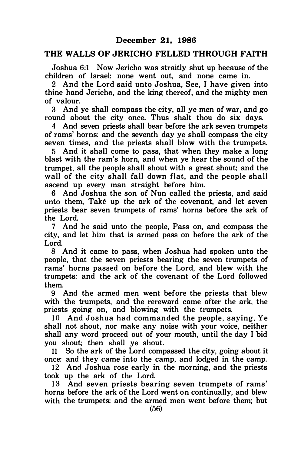#### THE WALLS OF JERICHO FELLED THROUGH FAITH

Joshua 6:1 Now Jericho was straitly shut up because of the children of Israel: none went out, and none came in.

2 And the Lord said unto Joshua, See, I have given into thine hand Jeriche, and the king thereof, and the mighty men of valour.

3 And ye shall compass the city, all ye men of war, and go round about the city once. Thus shalt thou do six days.

4 And seven priests shall bear before the ark seven trumpets of rams' horns: and the seventh day ye shall compass the city seven times, and the priests shall blow with the trumpets.

5 And it shall come to pass, that when they make a long blast with the ram's horn, and when ye hear the sound of the trumpet, all the people shall shout with a great shout; and the wall of the city shall fall down flat, and the people shall ascend up every man straight before him.

6 And Joshua the son of Nun called the priests, and said unto them, Take up the ark of the covenant, and let seven priests bear seven trumpets of rams' horns before the ark of the Lord.

7 And he said unto the people, Pass on, and compass the city, and let him that is armed pass on before the ark of the Lord.

8 And it came to pass, when Joshua had spoken unto the people, that the seven priests bearing the seven trumpets of rams' horns passed on before the Lord, and blew with the trumpets: and the ark of the covenant of the Lord followed them.

9 And the armed men went before the priests that blew with the trumpets, and the rereward came after the ark, the priests going on, and blowing with the trumpets.

10 And Joshua had commanded the people, saying, Ye shall not shout, nor make any noise with your voice, neither shall any word proceed out of your mouth, until the day I bid you shout; then shall ye shout.

11 So the ark of the Lord compassed the city, going about it once: and they came into the camp, and lodged in the camp.

12 And .Joshua rose early in the morning, and the priests took up the ark of the Lord.

13 And seven priests bearing seven trumpets of rams' horns before the ark of the Lord went on continually, and blew with the trumpets: and the armed men went before them; but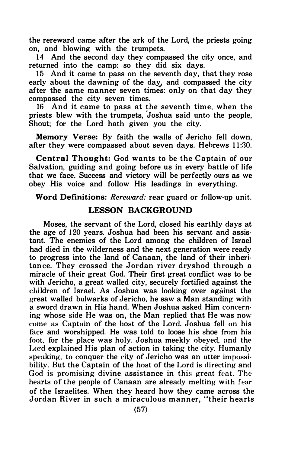the rereward came after the ark of the Lord, the priests going on, and blowing with the trumpets.

14 And the second day they compassed the city once, and returned into the camp: so they did six days.

15 And it came to pass on the seventh day, that they rose early about the dawning of the day, and compassed the city after the same manner seven times: only on that day they compassed the city seven times.

16 And it came to pass at the seventh time, when the priests blew with the trumpets, ' Joshua said unto the people, Shout; for the Lord hath given you the city.

Memory Verse: By faith the walls of Jericho fell down, after they were compassed about seven days. Hebrews 11:30.

Central Thought: God wants to be the Captain of our Salvation, guiding and going before us in every battle of life that we face. Success and victory will be perfectly ours as we obey His voice and follow His leadings in everything.

Word Definitions: Rereward: rear guard or follow-up unit.

#### LESSON BACKGROUND

Moses, the servant of the Lord, closed his earthly days at the age of 120 years. Joshua had been his servant and assistant. The enemies of the Lord among the children of Israel had died in the wilderness and the next generation were ready to progress into the land of Canaan, the land of their inheritance. They crossed the Jordan river dryshod through a miracle of their great God. Their first great conflict was to be with Jericho, a great walled city, securely fortified against the children of Israel. As Joshua was looking over against the great walled bulwarks of Jericho, he saw a Man standing with a sword drawn in His hand. When Joshua asked Him concern· ing whose side He was on, the Man replied that He was now come as Captain of the host of the Lord. Joshua fell on his face and worshipped. He was told to loose his shoe from his foot, for the place was holy. Joshua meekly obeyed, and the Lord explained His plan of action in taking the city. Humanly speaking, to conquer the city of Jericho was an utter impossibility. But the Captain of the host of the Lord is directing and God is promising divine assistance in this great feat. The hearts of the people of Canaan are already melting with fear of the Israelites. When they heard how they came across the Jordan River in such a miraculous manner, "their hearts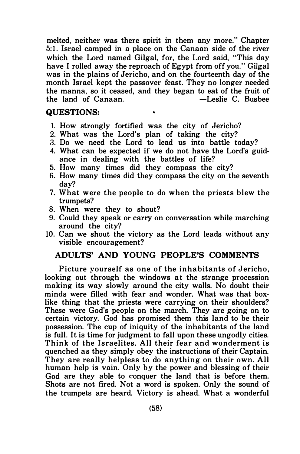melted, neither was there spirit in them any more." Chapter 5: 1. Israel camped in a place on the Canaan side of the river which the Lord named Gilgal, for, the Lord said, "This day have I rolled away the reproach of Egypt from off you." Gilgal was in the plains of Jericho, and on the fourteenth day of the month Israel kept the passover feast. They no longer needed the manna, so it ceased, and they began to eat of the fruit of the land of Canaan.

#### QUESTIONS:

- I. How strongly fortified was the city of Jericho?
- 2. What was the Lord's plan of taking the city?
- 3. Do we need the Lord to lead us into battle today?

è

- 4. What can be expected if we do not have the Lord's guidance in dealing with the battles of life?
- 5. How many times did they compass the city?
- 6. How many times did they compass the city on the seventh day?
- 7. What were the people to do when the priests blew the trumpets?
- 8. When were they to shout?
- 9. Could they speak or carry on conversation while marching around the city?
- 10. Can we shout the victory as the Lord leads without any visible encouragement?

#### ADULTS' AND YOUNG PEOPLE'S COMMENTS

Picture yourself as one of the inhabitants of Jericho, looking out through the windows at the strange procession making its way slowly around the city walls. No doubt their minds were filled with fear and wonder. What was that boxlike thing that the priests were carrying on their shoulders? These were God's people on the march. They are going on to certain victory. God has promised them this land to be their possession. The cup of iniquity of the inhabitants of the land is full. It is time for judgment to fall upon these ungodly cities. Think of the Israelites. All their fear and wonderment is quenched as they simply obey the instructions of their Captain. They are really helpless to do anything on their own. All human help is vain. Only by the power and blessing of their God are they able to conquer the land that is before them. Shots are not fired. Not a word is spoken. Only the sound of the trumpets are heard. Victory is ahead. What a wonderful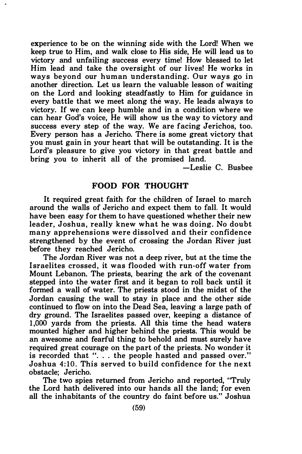experience to be on the winning side with the Lord! When we keep true to Him, and walk close to His side, He will lead us to victory and unfailing success every time! How blessed to let Him lead and take the oversight of our lives! He works in ways beyond our human understanding. Our ways go in another direction. Let us learn the valuable lesson of waiting on the Lord and looking steadfastly to Him for guidance in every battle that we meet along the way. He leads always to victory. If we can keep humble and in a condition where we can hear God's voice, He will show us the way to victory and success every step of the way. We are facing Jerichos, too. Every person has a Jericho. There is some great victory that you must gain in your heart that will be outstanding. It is the Lord's pleasure to give you victory in that great battle and bring you to inherit all of the promised land.

-Leslie C. Busbee

#### FOOD FOR THOUGHT

It required great faith for the children of Israel to march around the walls of Jericho and expect them to fall. It would have been easy for them to have questioned whether their new leader, Joshua, really knew what he was doing. No doubt many apprehensions were dissolved and their confidence strengthened by the event of crossing the Jordan River just before they reached Jericho.

The Jordan River was not a deep river, but at the time the I sraelites crossed, it was flooded with run-off water from Mount Lebanon. The priests, bearing the ark of the covenant stepped into the water first and it began to roll back until it formed a wall of water. The priests stood in the midst of the Jordan causing the wall to stay in place and the other side continued to flow on into the Dead Sea, leaving a large path of dry ground. The Israelites passed over, keeping a distance of 1 ,000 yards from the priests. All this time the head waters mounted higher and higher behind the priests. This would be an awesome and fearful thing to behold and must surely have required great courage on the part of the priests. No wonder it is recorded that "... the people hasted and passed over." Joshua 4:10. This served to build confidence for the next obstacle; Jericho.

The two spies returned from Jericho and reported, "Truly the Lord hath delivered into our hands all the land; for even all the inhabitants of the country do faint before us." Joshua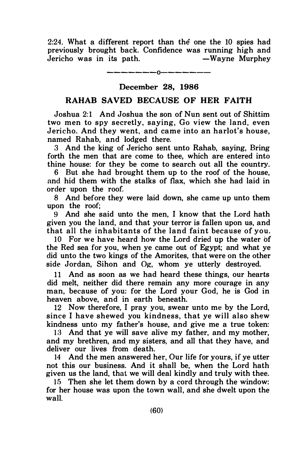2:24. What a different report than the one the 10 spies had previously brought back. Confidence was running high and Jericho was in its path.

-------0-------

#### December 28, 1986

#### RAHAB SAVED BECAUSE OF HER FAITH

Joshua 2:1 And Joshua the son of Nun sent out of Shittim two men to spy secretly, saying, Go view the land, even Jericho. And they went, and came into an harlot's house, named Rahab, and lodged there.

3 And the king of Jericho sent unto Rahab, saying, Bring forth the men that are come to thee, which are entered into thine house: for they be come to search out all the country.

6 But she had brought them up to the roof of the house, and hid them with the stalks of flax, which she had laid in order upon the roof

8 And before they were laid down, she came up unto them upon the roof;

9 And she said unto the men, I know that the Lord hath given you the land, and that your terror is fallen upon us, and that all the inhabitants of the land faint because of you.

10 For we have heard how the Lord dried up the water of the Red sea for you, when ye came out of Egypt; and what ye did unto the two kings of the Amorites, that were on the other side Jordan, Sihon and Og, whom ye utterly destroyed.

11 And as soon as we had heard these things, our hearts did melt, neither did there remain any more courage in any man, because of you: for the Lord your God, he is God in heaven above, and in earth beneath.

12 Now therefore, I pray you, swear unto me by the Lord, since I have shewed you kindness, that ye will also shew kindness unto my father's house, and give me a true token:

13 And that ye will save alive my father, and my mother, and my brethren, and my sisters, and all that they have, and deliver our lives from death.

14 And the men answered her, Our life for yours, if ye utter not this our business. And it shall be, when the Lord hath given us the land, that we will deal kindly and truly with thee.

15 Then she let them down by a cord through the window: for her house was upon the town wall, and she dwelt upon the wall.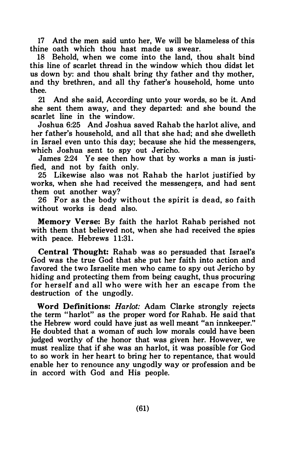17 And the men said unto her, We will be blameless of this thine oath which thou hast made us swear.

18 Behold, when we come into the land, thou shalt bind this line of scarlet thread in the window which thou didst let us down by: and thou shalt bring thy father and thy mother, and thy brethren, and all thy father's household, home unto thee.

21 And she said, According unto your words, so be it. And she sent them away, and they departed: and she bound the scarlet line in the window.

Joshua 6:25 And Joshua saved Rahab the harlot alive, and her father's household, and all that she had; and she dwelleth in Israel even unto this day; because she hid the messengers, which Joshua sent to spy out Jericho.

James 2:24 Ye see then how that by works a man is justified, and not by faith only.

25 Likewise also was not Rahab the harlot justified by works, when she had received the messengers, and had sent them out another way?

26 For as the body without the spirit is dead, so faith without works is dead also.

Memory Verse: By faith the harlot Rahab perished not with them that believed not, when she had received the spies with peace. Hebrews 11:31.

Central Thought: Rahab was so persuaded that Israel's God was the true God that she put her faith into action and favored the two Israelite men who came to spy out Jericho by hiding and protecting them from being caught, thus procuring for herself and all who were with her an escape from the destruction of the ungodly.

Word Definitions: Harlot: Adam Clarke strongly rejects the term "harlot" as the proper word for Rahab. He said that the Hebrew word could have just as well meant "an innkeeper." He doubted that a woman of such low morals could have been judged worthy of the honor that was given her. However, we must realize that if she was an harlot, it was possible for God to so work in her heart to bring her to repentance, that would enable her to renounce any ungodly way or profession and be in accord with God and His people.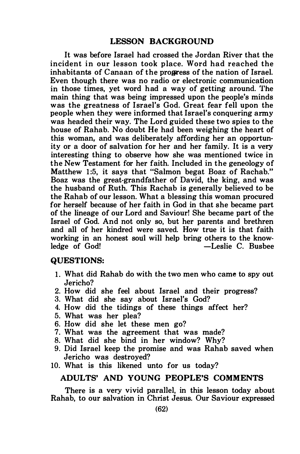It was before Israel had crossed the Jordan River that the incident in our lesson took place. Word had reached the inhabitants of C anaan of the progress of the nation of Israel. Even though there was no radio or electronic communication in those times, yet word had a way of getting around. The main thing that was being impressed upon the people's minds was the greatness of Israel's God. Great fear fell upon the people when they were informed that Israel's conquering army was headed their way. The Lord guided these two spies to the house of Rahab. No doubt He had been weighing the heart of this woman, and was deliberately affording her an opportunity or a door of salvation for her and her family. It is a very interesting thing to observe how she was mentioned twice in the New Testament for her faith. Included in the geneology of Matthew 1:5, it says that "Salmon begat Boaz of Rachab." Boaz was the great-grandfather of David, the king, and was the husband of Ruth. This Rachab is generally believed to be the Rahab of our lesson. What a blessing this woman procured for herself because of her faith in God in that she became part of the lineage of our Lord and Saviour! She became part of the Israel of God. And not only so, but her parents and brethren and all of her kindred were saved. How true it is that faith working in an honest soul will help bring others to the know-<br>ledge of God! - Leslie C. Busbee -Leslie C. Busbee

#### QUESTIONS:

- 1. What did Rahab do with the two men who came to spy out Jericho?
- 2. How did she feel about Israel and their progress?
- 3. What did she say about Israel's God?
- 4. How did the tidings of these things affect her?
- 5. What was her plea?
- 6. How did she let these men go?
- 7. What was the agreement that was made?
- 8. What did she bind in her window? Why?
- 9. Did Israel keep the promise and was Rahab saved when Jericho was destroyed?
- 10. What is this likened unto for us today?

#### ADULTS' AND YOUNG PEOPLE'S COMMENTS

There is a very vivid parallel, in this lesson today about Rahab, to our salvation in Christ Jesus. Our Saviour expressed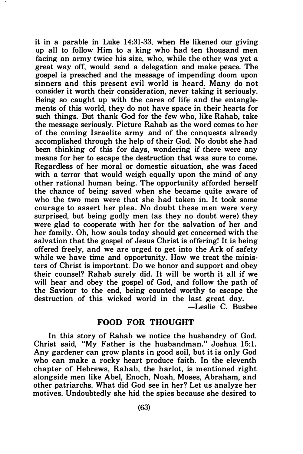it in a parable in Luke 14:31-33, when He likened our giving up all to follow Him to a king who had ten thousand men facing an army twice his size, who, while the other was yet a great way off, would send a delegation and make peace. The gospel is preached and the message of impending doom upon sinners and this present evil world is heard. Many do not consider it worth their consideration, never taking it seriously. Being so caught up with the cares of life and the entanglements of this world, they do not have space in their hearts for such things. But thank God for the few who, like Rahab, take the message seriously. Picture Rahab as the word comes to her of the coming Israelite army and of the conquests already accomplished through the help of their God. No doubt she had been thinking of this for days, wondering if there were any means for her to escape the destruction that was sure to come. Regardless of her moral or domestic situation, she was faced with a terror that would weigh equally upon the mind of any other rational human being. The opportunity afforded herself the chance of being saved when she became quite aware of who the two men were that she had taken in. It took some courage to assert her plea. No doubt these men were very surprised, but being godly men (as they no doubt were) they were glad to cooperate with her for the salvation of her and her family. Oh, how souls today should get concerned with the salvation that the gospel of Jesus Christ is offering! It is being offered freely, and we are urged to get into the Ark of safety while we have time and opportunity. How we treat the ministers of Christ is important. Do we honor and support and obey their counsel? Rahab surely did. It will be worth it all if we will hear and obey the gospel of God, and follow the path of the Saviour to the end, being counted worthy to escape the destruction of this wicked world in the last great day.

-Leslie C. Busbee

#### FOOD FOR THOUGHT

In this story of Rahab we notice the husbandry of God. Christ said, "My Father is the husbandman." Joshua 15:1. Any gardener can grow plants in good soil, but it is only God who can make a rocky heart produce faith. In the eleventh chapter of Hebrews, Rahab, the harlot, is mentioned right alongside men like Abel, Enoch, Noah, Moses, Abraham, and other patriarchs. What did God see in her? Let us analyze her motives. Undoubtedly she hid the spies because she desired to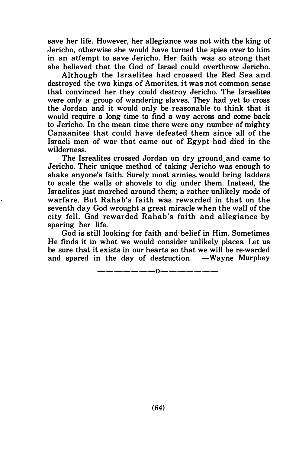save her life. However, her allegiance was not with the king of Jericho, otherwise she would have turned the spies over to him in an attempt to save Jericho. Her faith was so strong that she believed that the God of Israel could overthrow Jericho.

Although the Israelites had crossed the Red Sea and destroyed the two kings of Amorites, it was not common sense that convinced her they could destroy Jericho. The Israelites were only a group of wandering slaves. They had yet to cross the Jordan and it would only be reasonable to think that it would require a long time to find a way across and come back to Jericho. In the mean time there were any number of mighty Canaanites that could have defeated them since all of the Israeli men of war that came out of Egypt had died in the wilderness.

The Isrealites crossed Jordan on dry ground\_and came to Jericho. Their unique method of taking Jericho was enough to shake anyone's faith. Surely most armies would bring ladders to scale the walls or shovels to dig under them. Instead, the Israelites just marched around them; a rather unlikely mode of warfare. But Rahab's faith was rewarded in that on the seventh day God wrought a great miracle when the wall of the city fell. God rewarded Rahab's faith and allegiance by sparing her life.

God is still looking for faith and· belief in Him. Sometimes He finds it in what we would consider unlikely places. Let us be sure that it exists in our hearts so that we will be re-warded and spared in the day of destruction.  $-Wavne$  Murphey

-------0-------